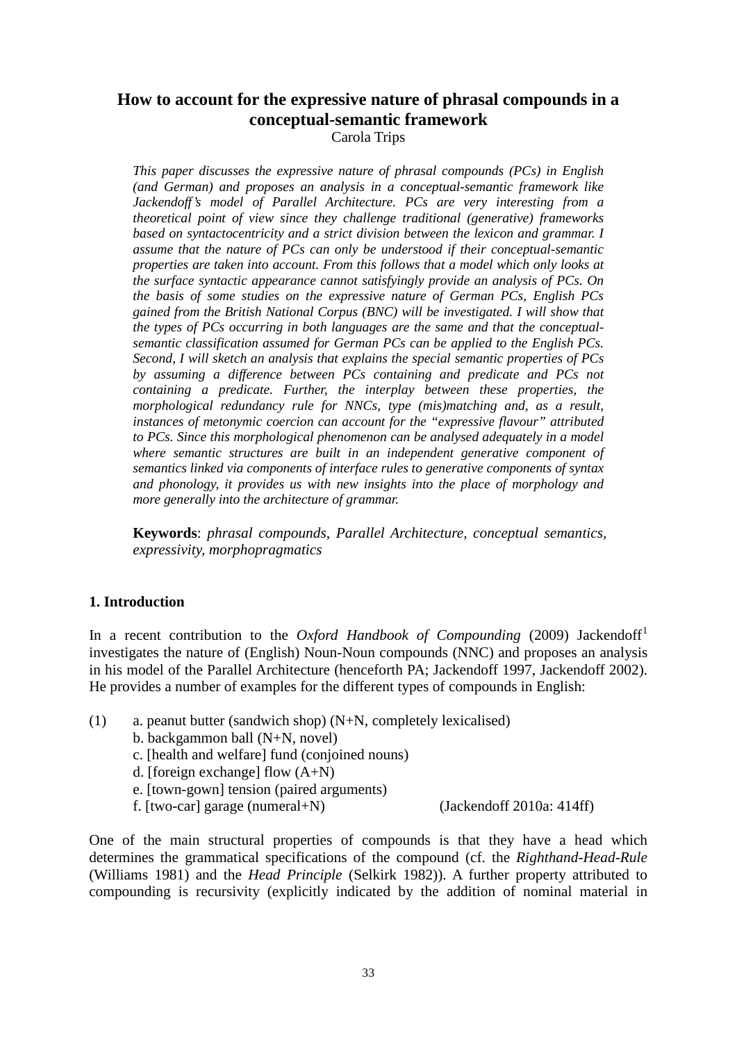# **How to account for the expressive nature of phrasal compounds in a conceptual-semantic framework** Carola Trips

*This paper discusses the expressive nature of phrasal compounds (PCs) in English (and German) and proposes an analysis in a conceptual-semantic framework like Jackendoff's model of Parallel Architecture. PCs are very interesting from a theoretical point of view since they challenge traditional (generative) frameworks based on syntactocentricity and a strict division between the lexicon and grammar. I assume that the nature of PCs can only be understood if their conceptual-semantic properties are taken into account. From this follows that a model which only looks at the surface syntactic appearance cannot satisfyingly provide an analysis of PCs. On the basis of some studies on the expressive nature of German PCs, English PCs gained from the British National Corpus (BNC) will be investigated. I will show that the types of PCs occurring in both languages are the same and that the conceptualsemantic classification assumed for German PCs can be applied to the English PCs. Second, I will sketch an analysis that explains the special semantic properties of PCs by assuming a difference between PCs containing and predicate and PCs not containing a predicate. Further, the interplay between these properties, the morphological redundancy rule for NNCs, type (mis)matching and, as a result, instances of metonymic coercion can account for the "expressive flavour" attributed to PCs. Since this morphological phenomenon can be analysed adequately in a model where semantic structures are built in an independent generative component of semantics linked via components of interface rules to generative components of syntax and phonology, it provides us with new insights into the place of morphology and more generally into the architecture of grammar.*

**Keywords**: *phrasal compounds, Parallel Architecture, conceptual semantics, expressivity, morphopragmatics*

## **1. Introduction**

In a recent contribution to the *Oxford Handbook of Compounding* (2009) Jackendoff<sup>[1](#page-27-0)</sup> investigates the nature of (English) Noun-Noun compounds (NNC) and proposes an analysis in his model of the Parallel Architecture (henceforth PA; Jackendoff 1997, Jackendoff 2002). He provides a number of examples for the different types of compounds in English:

- (1) a. peanut butter (sandwich shop) (N+N, completely lexicalised)
	- b. backgammon ball (N+N, novel)
	- c. [health and welfare] fund (conjoined nouns)
	- d. [foreign exchange] flow (A+N)
	- e. [town-gown] tension (paired arguments)
	- f. [two-car] garage (numeral+N) (Jackendoff 2010a: 414ff)

One of the main structural properties of compounds is that they have a head which determines the grammatical specifications of the compound (cf. the *Righthand-Head-Rule* (Williams 1981) and the *Head Principle* (Selkirk 1982)). A further property attributed to compounding is recursivity (explicitly indicated by the addition of nominal material in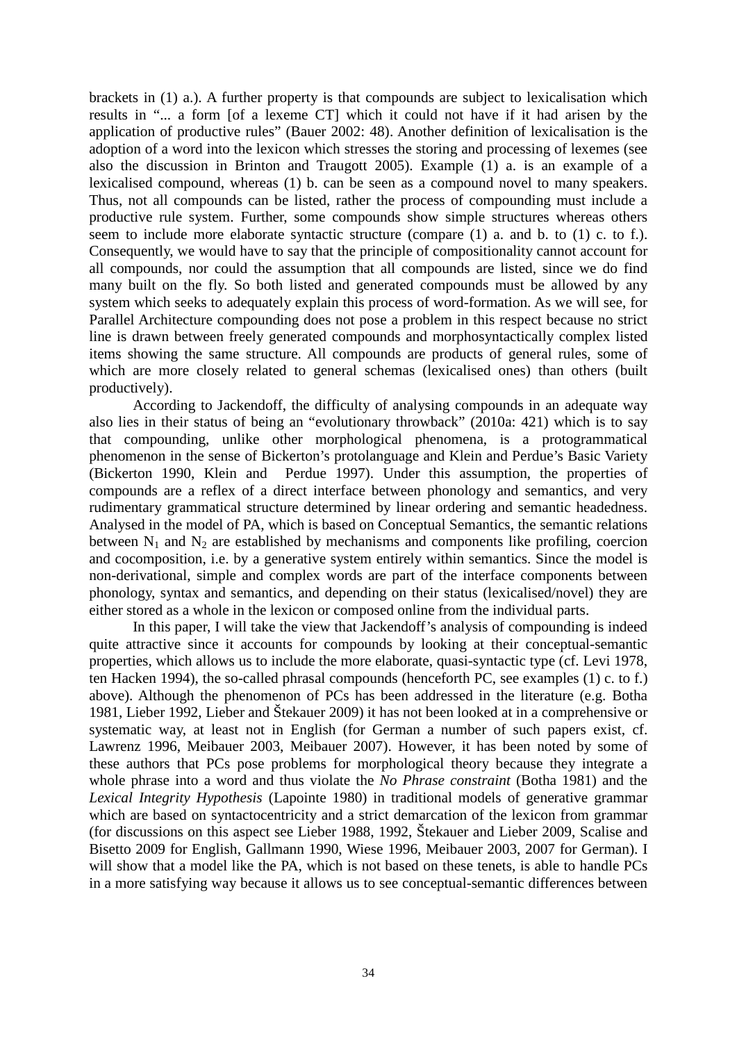brackets in (1) a.). A further property is that compounds are subject to lexicalisation which results in "... a form [of a lexeme CT] which it could not have if it had arisen by the application of productive rules" (Bauer 2002: 48). Another definition of lexicalisation is the adoption of a word into the lexicon which stresses the storing and processing of lexemes (see also the discussion in Brinton and Traugott 2005). Example (1) a. is an example of a lexicalised compound, whereas (1) b. can be seen as a compound novel to many speakers. Thus, not all compounds can be listed, rather the process of compounding must include a productive rule system. Further, some compounds show simple structures whereas others seem to include more elaborate syntactic structure (compare (1) a. and b. to (1) c. to f.). Consequently, we would have to say that the principle of compositionality cannot account for all compounds, nor could the assumption that all compounds are listed, since we do find many built on the fly. So both listed and generated compounds must be allowed by any system which seeks to adequately explain this process of word-formation. As we will see, for Parallel Architecture compounding does not pose a problem in this respect because no strict line is drawn between freely generated compounds and morphosyntactically complex listed items showing the same structure. All compounds are products of general rules, some of which are more closely related to general schemas (lexicalised ones) than others (built productively).

According to Jackendoff, the difficulty of analysing compounds in an adequate way also lies in their status of being an "evolutionary throwback" (2010a: 421) which is to say that compounding, unlike other morphological phenomena, is a protogrammatical phenomenon in the sense of Bickerton's protolanguage and Klein and Perdue's Basic Variety (Bickerton 1990, Klein and Perdue 1997). Under this assumption, the properties of compounds are a reflex of a direct interface between phonology and semantics, and very rudimentary grammatical structure determined by linear ordering and semantic headedness. Analysed in the model of PA, which is based on Conceptual Semantics, the semantic relations between  $N_1$  and  $N_2$  are established by mechanisms and components like profiling, coercion and cocomposition, i.e. by a generative system entirely within semantics. Since the model is non-derivational, simple and complex words are part of the interface components between phonology, syntax and semantics, and depending on their status (lexicalised/novel) they are either stored as a whole in the lexicon or composed online from the individual parts.

In this paper, I will take the view that Jackendoff's analysis of compounding is indeed quite attractive since it accounts for compounds by looking at their conceptual-semantic properties, which allows us to include the more elaborate, quasi-syntactic type (cf. Levi 1978, ten Hacken 1994), the so-called phrasal compounds (henceforth PC, see examples (1) c. to f.) above). Although the phenomenon of PCs has been addressed in the literature (e.g. Botha 1981, Lieber 1992, Lieber and Štekauer 2009) it has not been looked at in a comprehensive or systematic way, at least not in English (for German a number of such papers exist, cf. Lawrenz 1996, Meibauer 2003, Meibauer 2007). However, it has been noted by some of these authors that PCs pose problems for morphological theory because they integrate a whole phrase into a word and thus violate the *No Phrase constraint* (Botha 1981) and the *Lexical Integrity Hypothesis* (Lapointe 1980) in traditional models of generative grammar which are based on syntactocentricity and a strict demarcation of the lexicon from grammar (for discussions on this aspect see Lieber 1988, 1992, Štekauer and Lieber 2009, Scalise and Bisetto 2009 for English, Gallmann 1990, Wiese 1996, Meibauer 2003, 2007 for German). I will show that a model like the PA, which is not based on these tenets, is able to handle PCs in a more satisfying way because it allows us to see conceptual-semantic differences between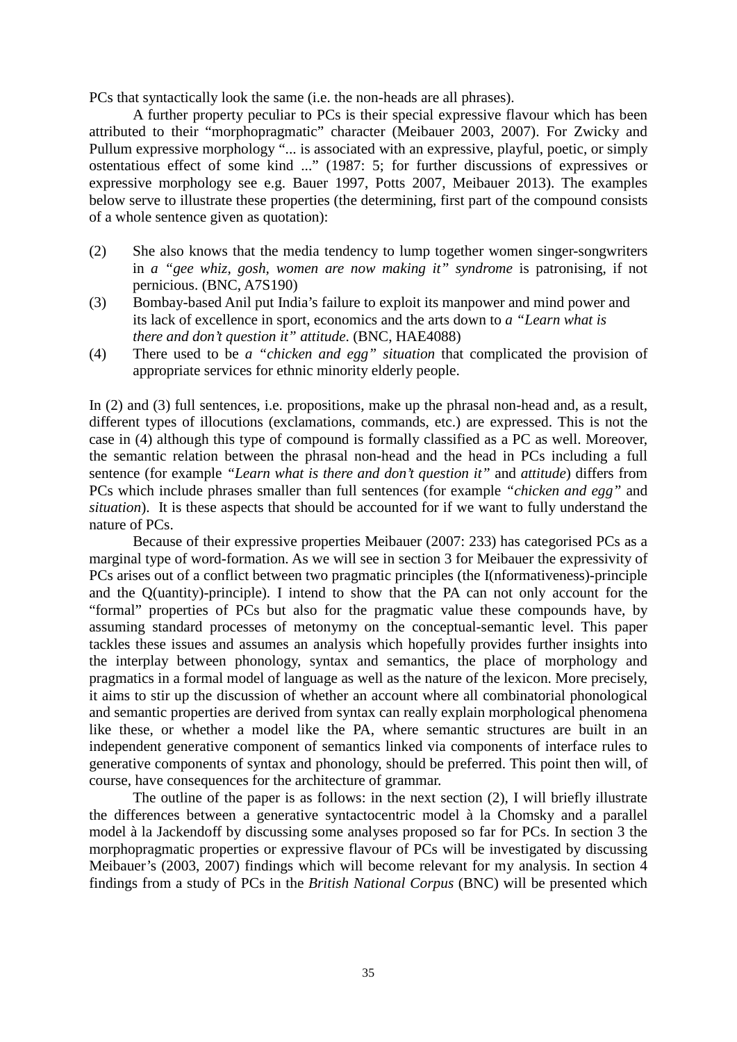PCs that syntactically look the same (i.e. the non-heads are all phrases).

A further property peculiar to PCs is their special expressive flavour which has been attributed to their "morphopragmatic" character (Meibauer 2003, 2007). For Zwicky and Pullum expressive morphology "... is associated with an expressive, playful, poetic, or simply ostentatious effect of some kind ..." (1987: 5; for further discussions of expressives or expressive morphology see e.g. Bauer 1997, Potts 2007, Meibauer 2013). The examples below serve to illustrate these properties (the determining, first part of the compound consists of a whole sentence given as quotation):

- (2) She also knows that the media tendency to lump together women singer-songwriters in *a "gee whiz, gosh, women are now making it" syndrome* is patronising, if not pernicious. (BNC, A7S190)
- (3) Bombay-based Anil put India's failure to exploit its manpower and mind power and its lack of excellence in sport, economics and the arts down to *a "Learn what is there and don't question it" attitude*. (BNC, HAE4088)
- (4) There used to be *a "chicken and egg" situation* that complicated the provision of appropriate services for ethnic minority elderly people.

In (2) and (3) full sentences, i.e. propositions, make up the phrasal non-head and, as a result, different types of illocutions (exclamations, commands, etc.) are expressed. This is not the case in (4) although this type of compound is formally classified as a PC as well. Moreover, the semantic relation between the phrasal non-head and the head in PCs including a full sentence (for example *"Learn what is there and don't question it"* and *attitude*) differs from PCs which include phrases smaller than full sentences (for example *"chicken and egg"* and *situation*). It is these aspects that should be accounted for if we want to fully understand the nature of PCs.

Because of their expressive properties Meibauer (2007: 233) has categorised PCs as a marginal type of word-formation. As we will see in section 3 for Meibauer the expressivity of PCs arises out of a conflict between two pragmatic principles (the I(nformativeness)-principle and the Q(uantity)-principle). I intend to show that the PA can not only account for the "formal" properties of PCs but also for the pragmatic value these compounds have, by assuming standard processes of metonymy on the conceptual-semantic level. This paper tackles these issues and assumes an analysis which hopefully provides further insights into the interplay between phonology, syntax and semantics, the place of morphology and pragmatics in a formal model of language as well as the nature of the lexicon. More precisely, it aims to stir up the discussion of whether an account where all combinatorial phonological and semantic properties are derived from syntax can really explain morphological phenomena like these, or whether a model like the PA, where semantic structures are built in an independent generative component of semantics linked via components of interface rules to generative components of syntax and phonology, should be preferred. This point then will, of course, have consequences for the architecture of grammar.

The outline of the paper is as follows: in the next section (2), I will briefly illustrate the differences between a generative syntactocentric model à la Chomsky and a parallel model à la Jackendoff by discussing some analyses proposed so far for PCs. In section 3 the morphopragmatic properties or expressive flavour of PCs will be investigated by discussing Meibauer's (2003, 2007) findings which will become relevant for my analysis. In section 4 findings from a study of PCs in the *British National Corpus* (BNC) will be presented which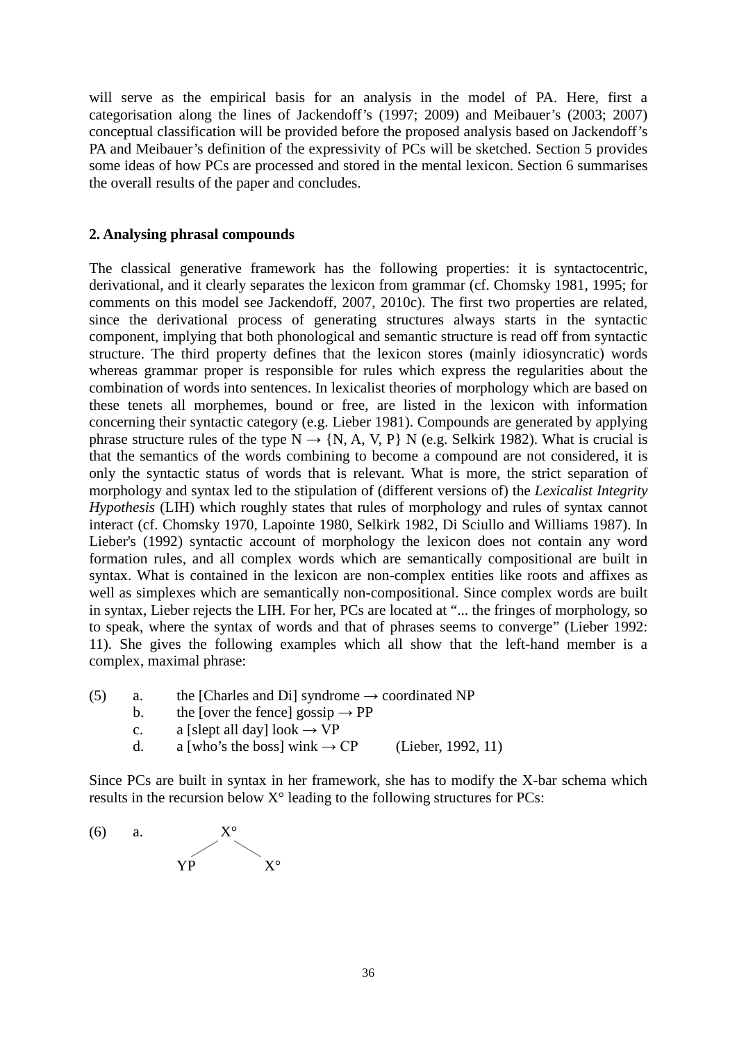will serve as the empirical basis for an analysis in the model of PA. Here, first a categorisation along the lines of Jackendoff's (1997; 2009) and Meibauer's (2003; 2007) conceptual classification will be provided before the proposed analysis based on Jackendoff's PA and Meibauer's definition of the expressivity of PCs will be sketched. Section 5 provides some ideas of how PCs are processed and stored in the mental lexicon. Section 6 summarises the overall results of the paper and concludes.

#### **2. Analysing phrasal compounds**

The classical generative framework has the following properties: it is syntactocentric, derivational, and it clearly separates the lexicon from grammar (cf. Chomsky 1981, 1995; for comments on this model see Jackendoff, 2007, 2010c). The first two properties are related, since the derivational process of generating structures always starts in the syntactic component, implying that both phonological and semantic structure is read off from syntactic structure. The third property defines that the lexicon stores (mainly idiosyncratic) words whereas grammar proper is responsible for rules which express the regularities about the combination of words into sentences. In lexicalist theories of morphology which are based on these tenets all morphemes, bound or free, are listed in the lexicon with information concerning their syntactic category (e.g. Lieber 1981). Compounds are generated by applying phrase structure rules of the type  $N \rightarrow \{N, A, V, P\}$  N (e.g. Selkirk 1982). What is crucial is that the semantics of the words combining to become a compound are not considered, it is only the syntactic status of words that is relevant. What is more, the strict separation of morphology and syntax led to the stipulation of (different versions of) the *Lexicalist Integrity Hypothesis* (LIH) which roughly states that rules of morphology and rules of syntax cannot interact (cf. Chomsky 1970, Lapointe 1980, Selkirk 1982, Di Sciullo and Williams 1987). In Lieber's (1992) syntactic account of morphology the lexicon does not contain any word formation rules, and all complex words which are semantically compositional are built in syntax. What is contained in the lexicon are non-complex entities like roots and affixes as well as simplexes which are semantically non-compositional. Since complex words are built in syntax, Lieber rejects the LIH. For her, PCs are located at "... the fringes of morphology, so to speak, where the syntax of words and that of phrases seems to converge" (Lieber 1992: 11). She gives the following examples which all show that the left-hand member is a complex, maximal phrase:

- (5) a. the [Charles and Di] syndrome  $\rightarrow$  coordinated NP
	- b. the [over the fence] gossip  $\rightarrow$  PP
	- c. a [slept all day] look  $\rightarrow VP$
	- d. a [who's the boss] wink  $\rightarrow CP$  (Lieber, 1992, 11)

Since PCs are built in syntax in her framework, she has to modify the X-bar schema which results in the recursion below  $X^{\circ}$  leading to the following structures for PCs:

(6) a.  $X^{\circ}$ YP X°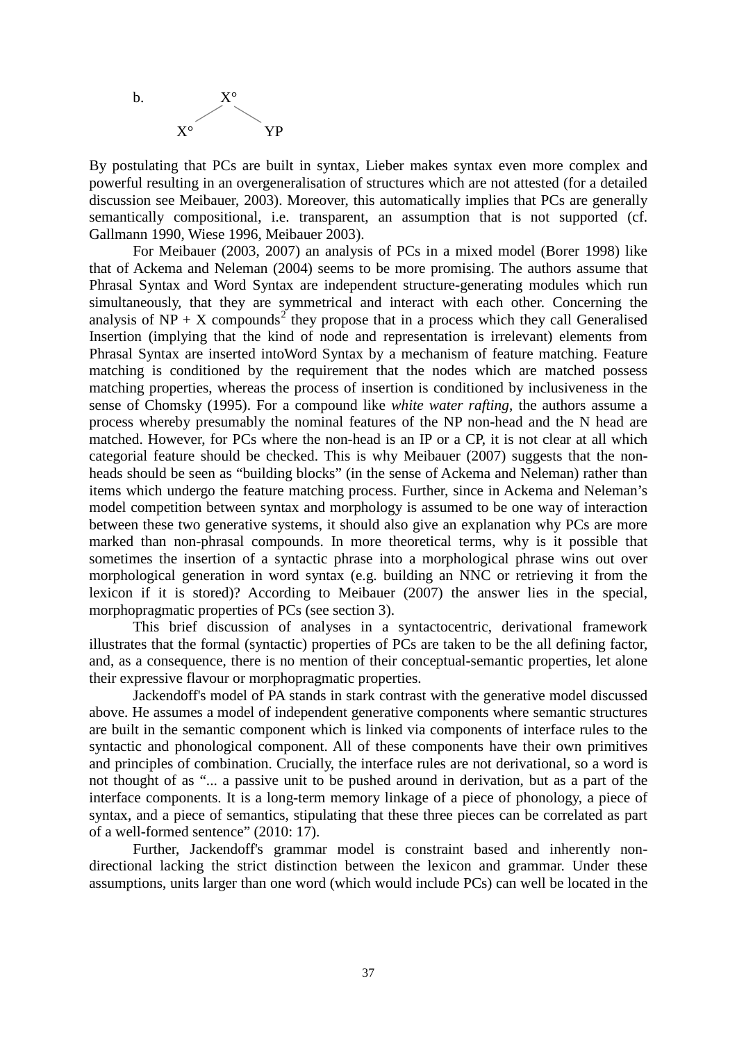

By postulating that PCs are built in syntax, Lieber makes syntax even more complex and powerful resulting in an overgeneralisation of structures which are not attested (for a detailed discussion see Meibauer, 2003). Moreover, this automatically implies that PCs are generally semantically compositional, i.e. transparent, an assumption that is not supported (cf. Gallmann 1990, Wiese 1996, Meibauer 2003).

For Meibauer (2003, 2007) an analysis of PCs in a mixed model (Borer 1998) like that of Ackema and Neleman (2004) seems to be more promising. The authors assume that Phrasal Syntax and Word Syntax are independent structure-generating modules which run simultaneously, that they are symmetrical and interact with each other. Concerning the analysis of  $NP + X$  compounds<sup>[2](#page-27-1)</sup> they propose that in a process which they call Generalised Insertion (implying that the kind of node and representation is irrelevant) elements from Phrasal Syntax are inserted intoWord Syntax by a mechanism of feature matching. Feature matching is conditioned by the requirement that the nodes which are matched possess matching properties, whereas the process of insertion is conditioned by inclusiveness in the sense of Chomsky (1995). For a compound like *white water rafting*, the authors assume a process whereby presumably the nominal features of the NP non-head and the N head are matched. However, for PCs where the non-head is an IP or a CP, it is not clear at all which categorial feature should be checked. This is why Meibauer (2007) suggests that the nonheads should be seen as "building blocks" (in the sense of Ackema and Neleman) rather than items which undergo the feature matching process. Further, since in Ackema and Neleman's model competition between syntax and morphology is assumed to be one way of interaction between these two generative systems, it should also give an explanation why PCs are more marked than non-phrasal compounds. In more theoretical terms, why is it possible that sometimes the insertion of a syntactic phrase into a morphological phrase wins out over morphological generation in word syntax (e.g. building an NNC or retrieving it from the lexicon if it is stored)? According to Meibauer (2007) the answer lies in the special, morphopragmatic properties of PCs (see section 3).

This brief discussion of analyses in a syntactocentric, derivational framework illustrates that the formal (syntactic) properties of PCs are taken to be the all defining factor, and, as a consequence, there is no mention of their conceptual-semantic properties, let alone their expressive flavour or morphopragmatic properties.

Jackendoff's model of PA stands in stark contrast with the generative model discussed above. He assumes a model of independent generative components where semantic structures are built in the semantic component which is linked via components of interface rules to the syntactic and phonological component. All of these components have their own primitives and principles of combination. Crucially, the interface rules are not derivational, so a word is not thought of as "... a passive unit to be pushed around in derivation, but as a part of the interface components. It is a long-term memory linkage of a piece of phonology, a piece of syntax, and a piece of semantics, stipulating that these three pieces can be correlated as part of a well-formed sentence" (2010: 17).

Further, Jackendoff's grammar model is constraint based and inherently nondirectional lacking the strict distinction between the lexicon and grammar. Under these assumptions, units larger than one word (which would include PCs) can well be located in the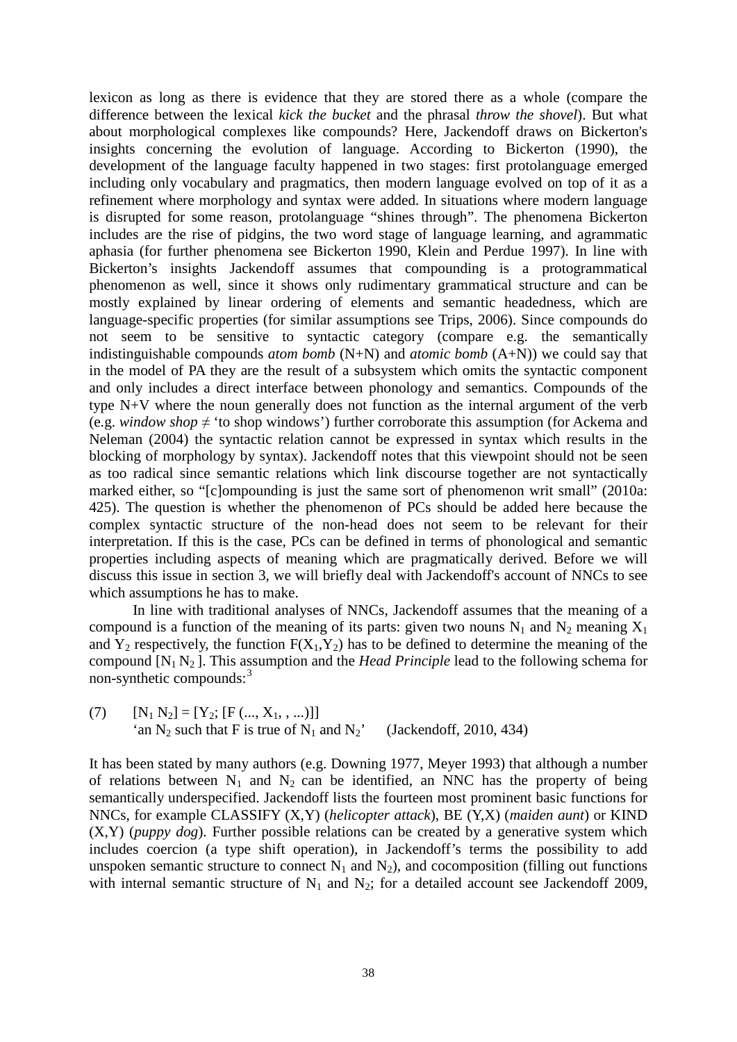lexicon as long as there is evidence that they are stored there as a whole (compare the difference between the lexical *kick the bucket* and the phrasal *throw the shovel*). But what about morphological complexes like compounds? Here, Jackendoff draws on Bickerton's insights concerning the evolution of language. According to Bickerton (1990), the development of the language faculty happened in two stages: first protolanguage emerged including only vocabulary and pragmatics, then modern language evolved on top of it as a refinement where morphology and syntax were added. In situations where modern language is disrupted for some reason, protolanguage "shines through". The phenomena Bickerton includes are the rise of pidgins, the two word stage of language learning, and agrammatic aphasia (for further phenomena see Bickerton 1990, Klein and Perdue 1997). In line with Bickerton's insights Jackendoff assumes that compounding is a protogrammatical phenomenon as well, since it shows only rudimentary grammatical structure and can be mostly explained by linear ordering of elements and semantic headedness, which are language-specific properties (for similar assumptions see Trips, 2006). Since compounds do not seem to be sensitive to syntactic category (compare e.g. the semantically indistinguishable compounds *atom bomb* (N+N) and *atomic bomb* (A+N)) we could say that in the model of PA they are the result of a subsystem which omits the syntactic component and only includes a direct interface between phonology and semantics. Compounds of the type N+V where the noun generally does not function as the internal argument of the verb (e.g. *window shop*  $\neq$  'to shop windows') further corroborate this assumption (for Ackema and Neleman (2004) the syntactic relation cannot be expressed in syntax which results in the blocking of morphology by syntax). Jackendoff notes that this viewpoint should not be seen as too radical since semantic relations which link discourse together are not syntactically marked either, so "[c]ompounding is just the same sort of phenomenon writ small" (2010a: 425). The question is whether the phenomenon of PCs should be added here because the complex syntactic structure of the non-head does not seem to be relevant for their interpretation. If this is the case, PCs can be defined in terms of phonological and semantic properties including aspects of meaning which are pragmatically derived. Before we will discuss this issue in section 3, we will briefly deal with Jackendoff's account of NNCs to see which assumptions he has to make.

In line with traditional analyses of NNCs, Jackendoff assumes that the meaning of a compound is a function of the meaning of its parts: given two nouns  $N_1$  and  $N_2$  meaning  $X_1$ and  $Y_2$  respectively, the function  $F(X_1, Y_2)$  has to be defined to determine the meaning of the compound  $[N_1 N_2]$ . This assumption and the *Head Principle* lead to the following schema for non-synthetic compounds:<sup>[3](#page-27-2)</sup>

(7)  $[N_1 N_2] = [Y_2; [F (..., X_1, ...)]]$ 'an  $N_2$  such that F is true of  $N_1$  and  $N_2$ ' (Jackendoff, 2010, 434)

It has been stated by many authors (e.g. Downing 1977, Meyer 1993) that although a number of relations between  $N_1$  and  $N_2$  can be identified, an NNC has the property of being semantically underspecified. Jackendoff lists the fourteen most prominent basic functions for NNCs, for example CLASSIFY (X,Y) (*helicopter attack*), BE (Y,X) (*maiden aunt*) or KIND (X,Y) (*puppy dog*). Further possible relations can be created by a generative system which includes coercion (a type shift operation), in Jackendoff's terms the possibility to add unspoken semantic structure to connect  $N_1$  and  $N_2$ ), and cocomposition (filling out functions with internal semantic structure of  $N_1$  and  $N_2$ ; for a detailed account see Jackendoff 2009,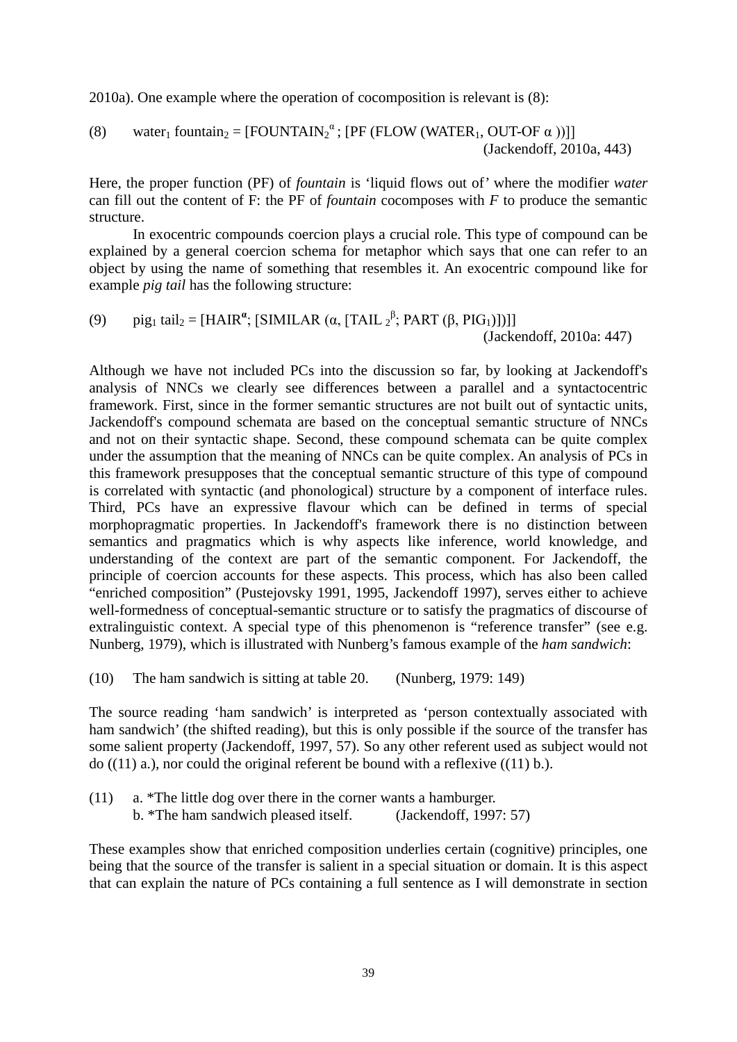2010a). One example where the operation of cocomposition is relevant is (8):

(8) water<sub>1</sub> fountain<sub>2</sub> = 
$$
[FOUNTAIN2\alpha; [PF (FLOW (WATER1, OUT-OF  $\alpha$ ))]] (Jackendorff, 2010a, 443)
$$

Here, the proper function (PF) of *fountain* is 'liquid flows out of' where the modifier *water* can fill out the content of F: the PF of *fountain* cocomposes with *F* to produce the semantic structure.

In exocentric compounds coercion plays a crucial role. This type of compound can be explained by a general coercion schema for metaphor which says that one can refer to an object by using the name of something that resembles it. An exocentric compound like for example *pig tail* has the following structure:

(9) 
$$
\text{pi}_{21} \text{ tail}_2 = [\text{HAIR}^{\alpha}; [\text{SIMILAR } (\alpha, [\text{TAIL } 2^{\beta}; \text{PART } (\beta, \text{PIG}_1)])]]
$$
(Jackendoff, 2010a: 447)

Although we have not included PCs into the discussion so far, by looking at Jackendoff's analysis of NNCs we clearly see differences between a parallel and a syntactocentric framework. First, since in the former semantic structures are not built out of syntactic units, Jackendoff's compound schemata are based on the conceptual semantic structure of NNCs and not on their syntactic shape. Second, these compound schemata can be quite complex under the assumption that the meaning of NNCs can be quite complex. An analysis of PCs in this framework presupposes that the conceptual semantic structure of this type of compound is correlated with syntactic (and phonological) structure by a component of interface rules. Third, PCs have an expressive flavour which can be defined in terms of special morphopragmatic properties. In Jackendoff's framework there is no distinction between semantics and pragmatics which is why aspects like inference, world knowledge, and understanding of the context are part of the semantic component. For Jackendoff, the principle of coercion accounts for these aspects. This process, which has also been called "enriched composition" (Pustejovsky 1991, 1995, Jackendoff 1997), serves either to achieve well-formedness of conceptual-semantic structure or to satisfy the pragmatics of discourse of extralinguistic context. A special type of this phenomenon is "reference transfer" (see e.g. Nunberg, 1979), which is illustrated with Nunberg's famous example of the *ham sandwich*:

(10) The ham sandwich is sitting at table 20. (Nunberg, 1979: 149)

The source reading 'ham sandwich' is interpreted as 'person contextually associated with ham sandwich' (the shifted reading), but this is only possible if the source of the transfer has some salient property (Jackendoff, 1997, 57). So any other referent used as subject would not do  $((11)$  a.), nor could the original referent be bound with a reflexive  $((11)$  b.).

(11) a. \*The little dog over there in the corner wants a hamburger. b. \*The ham sandwich pleased itself. (Jackendoff, 1997: 57)

These examples show that enriched composition underlies certain (cognitive) principles, one being that the source of the transfer is salient in a special situation or domain. It is this aspect that can explain the nature of PCs containing a full sentence as I will demonstrate in section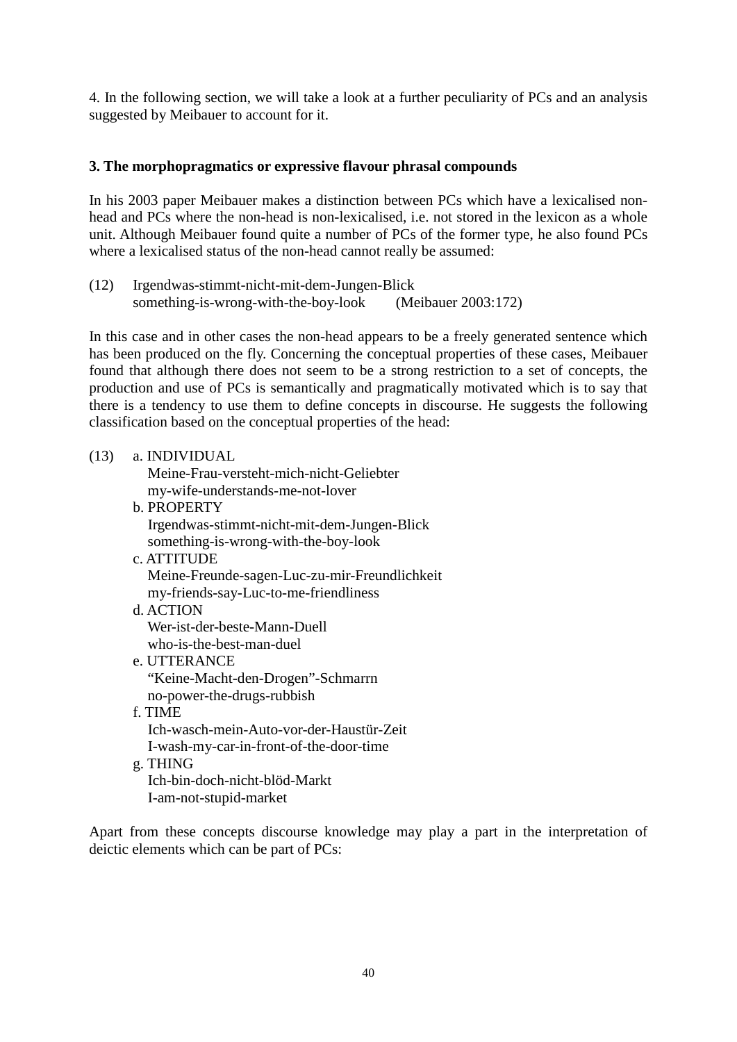4. In the following section, we will take a look at a further peculiarity of PCs and an analysis suggested by Meibauer to account for it.

# **3. The morphopragmatics or expressive flavour phrasal compounds**

In his 2003 paper Meibauer makes a distinction between PCs which have a lexicalised nonhead and PCs where the non-head is non-lexicalised, i.e. not stored in the lexicon as a whole unit. Although Meibauer found quite a number of PCs of the former type, he also found PCs where a lexicalised status of the non-head cannot really be assumed:

(12) Irgendwas-stimmt-nicht-mit-dem-Jungen-Blick something-is-wrong-with-the-boy-look (Meibauer 2003:172)

In this case and in other cases the non-head appears to be a freely generated sentence which has been produced on the fly. Concerning the conceptual properties of these cases, Meibauer found that although there does not seem to be a strong restriction to a set of concepts, the production and use of PCs is semantically and pragmatically motivated which is to say that there is a tendency to use them to define concepts in discourse. He suggests the following classification based on the conceptual properties of the head:

(13) a. INDIVIDUAL

 Meine-Frau-versteht-mich-nicht-Geliebter my-wife-understands-me-not-lover

- b. PROPERTY
	- Irgendwas-stimmt-nicht-mit-dem-Jungen-Blick something-is-wrong-with-the-boy-look
- c. ATTITUDE Meine-Freunde-sagen-Luc-zu-mir-Freundlichkeit my-friends-say-Luc-to-me-friendliness
- d. ACTION Wer-ist-der-beste-Mann-Duell who-is-the-best-man-duel
- e. UTTERANCE "Keine-Macht-den-Drogen"-Schmarrn no-power-the-drugs-rubbish
- f. TIME Ich-wasch-mein-Auto-vor-der-Haustür-Zeit I-wash-my-car-in-front-of-the-door-time
- g. THING Ich-bin-doch-nicht-blöd-Markt I-am-not-stupid-market

Apart from these concepts discourse knowledge may play a part in the interpretation of deictic elements which can be part of PCs: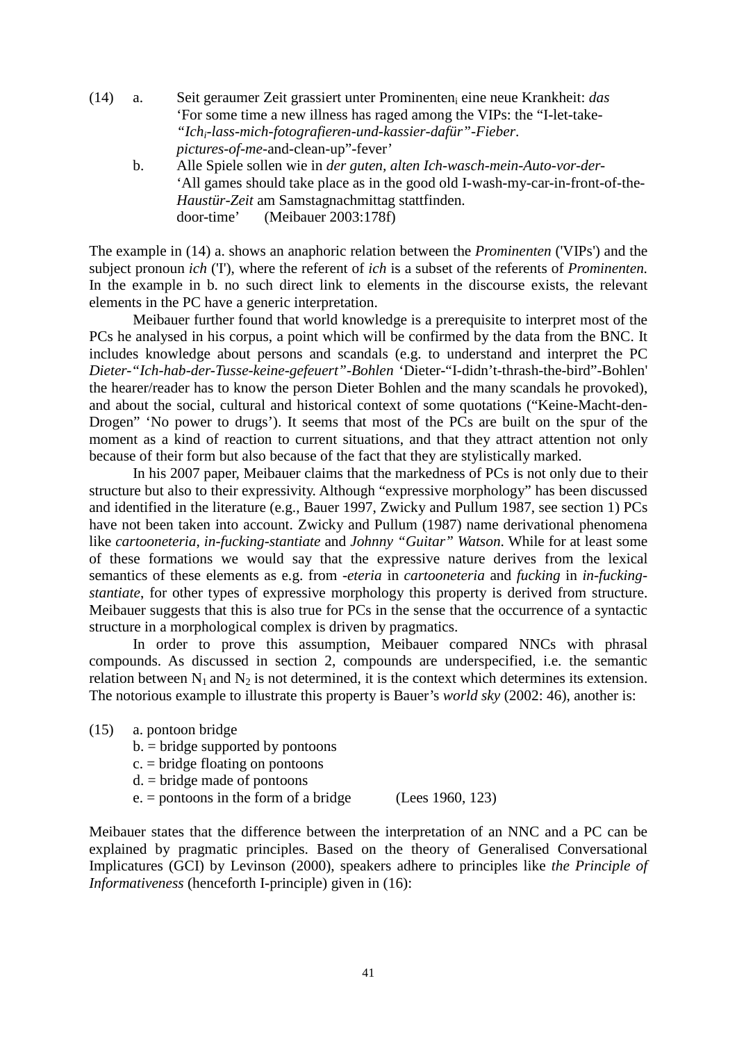- (14) a. Seit geraumer Zeit grassiert unter Prominenteni eine neue Krankheit: *das*  'For some time a new illness has raged among the VIPs: the "I-let-take- *"Ichi-lass-mich-fotografieren-und-kassier-dafür"-Fieber*. *pictures-of-me*-and-clean-up"-fever'
	- b. Alle Spiele sollen wie in *der guten, alten Ich-wasch-mein-Auto-vor-der-* 'All games should take place as in the good old I-wash-my-car-in-front-of-the-*Haustür-Zeit* am Samstagnachmittag stattfinden. door-time' (Meibauer 2003:178f)

The example in (14) a. shows an anaphoric relation between the *Prominenten* ('VIPs') and the subject pronoun *ich* ('I'), where the referent of *ich* is a subset of the referents of *Prominenten.* In the example in b. no such direct link to elements in the discourse exists, the relevant elements in the PC have a generic interpretation.

Meibauer further found that world knowledge is a prerequisite to interpret most of the PCs he analysed in his corpus, a point which will be confirmed by the data from the BNC. It includes knowledge about persons and scandals (e.g. to understand and interpret the PC *Dieter-"Ich-hab-der-Tusse-keine-gefeuert"-Bohlen* 'Dieter-"I-didn't-thrash-the-bird"-Bohlen' the hearer/reader has to know the person Dieter Bohlen and the many scandals he provoked), and about the social, cultural and historical context of some quotations ("Keine-Macht-den-Drogen" 'No power to drugs'). It seems that most of the PCs are built on the spur of the moment as a kind of reaction to current situations, and that they attract attention not only because of their form but also because of the fact that they are stylistically marked.

In his 2007 paper, Meibauer claims that the markedness of PCs is not only due to their structure but also to their expressivity. Although "expressive morphology" has been discussed and identified in the literature (e.g., Bauer 1997, Zwicky and Pullum 1987, see section 1) PCs have not been taken into account. Zwicky and Pullum (1987) name derivational phenomena like *cartooneteria*, *in-fucking-stantiate* and *Johnny "Guitar" Watson*. While for at least some of these formations we would say that the expressive nature derives from the lexical semantics of these elements as e.g. from -*eteria* in *cartooneteria* and *fucking* in *in-fuckingstantiate*, for other types of expressive morphology this property is derived from structure. Meibauer suggests that this is also true for PCs in the sense that the occurrence of a syntactic structure in a morphological complex is driven by pragmatics.

In order to prove this assumption, Meibauer compared NNCs with phrasal compounds. As discussed in section 2, compounds are underspecified, i.e. the semantic relation between  $N_1$  and  $N_2$  is not determined, it is the context which determines its extension. The notorious example to illustrate this property is Bauer's *world sky* (2002: 46), another is:

- (15) a. pontoon bridge
	- $b = b$  idge supported by pontoons
	- c. = bridge floating on pontoons
	- $d = b$ ridge made of pontoons
	- $e. =$  pontoons in the form of a bridge (Lees 1960, 123)

Meibauer states that the difference between the interpretation of an NNC and a PC can be explained by pragmatic principles. Based on the theory of Generalised Conversational Implicatures (GCI) by Levinson (2000), speakers adhere to principles like *the Principle of Informativeness* (henceforth I-principle) given in (16):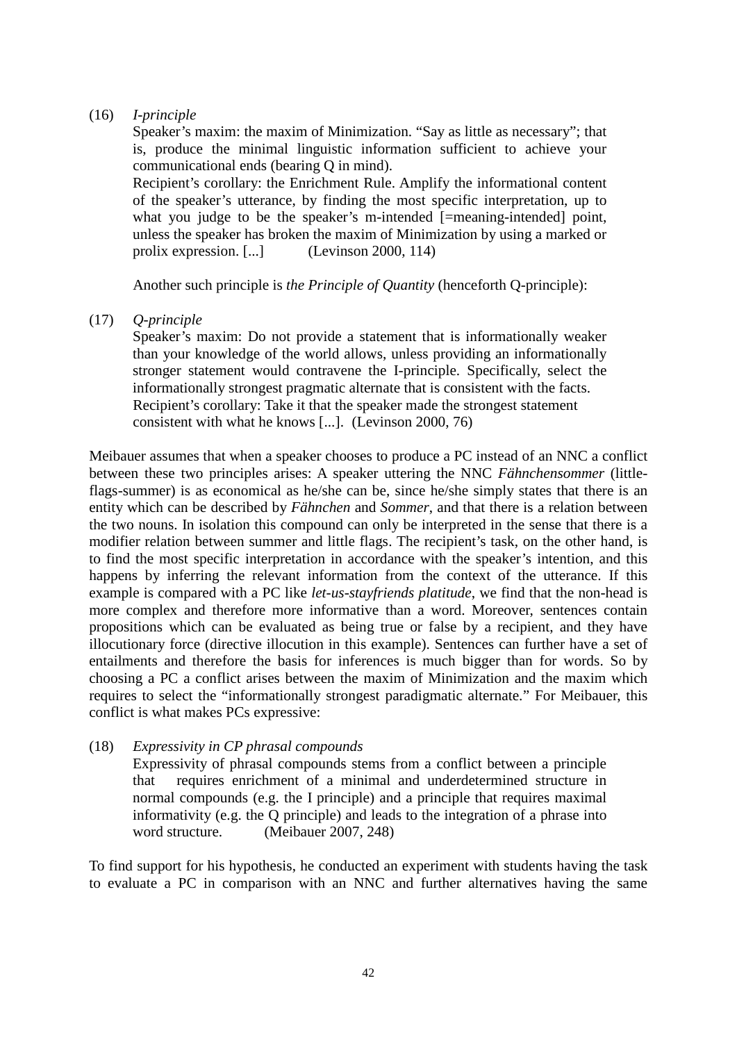## (16) *I-principle*

Speaker's maxim: the maxim of Minimization. "Say as little as necessary"; that is, produce the minimal linguistic information sufficient to achieve your communicational ends (bearing Q in mind).

Recipient's corollary: the Enrichment Rule. Amplify the informational content of the speaker's utterance, by finding the most specific interpretation, up to what you judge to be the speaker's m-intended [=meaning-intended] point, unless the speaker has broken the maxim of Minimization by using a marked or prolix expression. [...] (Levinson 2000, 114)

Another such principle is *the Principle of Quantity* (henceforth Q-principle):

(17) *Q-principle*

Speaker's maxim: Do not provide a statement that is informationally weaker than your knowledge of the world allows, unless providing an informationally stronger statement would contravene the I-principle. Specifically, select the informationally strongest pragmatic alternate that is consistent with the facts. Recipient's corollary: Take it that the speaker made the strongest statement consistent with what he knows [...]. (Levinson 2000, 76)

Meibauer assumes that when a speaker chooses to produce a PC instead of an NNC a conflict between these two principles arises: A speaker uttering the NNC *Fähnchensommer* (littleflags-summer) is as economical as he/she can be, since he/she simply states that there is an entity which can be described by *Fähnchen* and *Sommer*, and that there is a relation between the two nouns. In isolation this compound can only be interpreted in the sense that there is a modifier relation between summer and little flags. The recipient's task, on the other hand, is to find the most specific interpretation in accordance with the speaker's intention, and this happens by inferring the relevant information from the context of the utterance. If this example is compared with a PC like *let-us-stayfriends platitude*, we find that the non-head is more complex and therefore more informative than a word. Moreover, sentences contain propositions which can be evaluated as being true or false by a recipient, and they have illocutionary force (directive illocution in this example). Sentences can further have a set of entailments and therefore the basis for inferences is much bigger than for words. So by choosing a PC a conflict arises between the maxim of Minimization and the maxim which requires to select the "informationally strongest paradigmatic alternate." For Meibauer, this conflict is what makes PCs expressive:

(18) *Expressivity in CP phrasal compounds*

Expressivity of phrasal compounds stems from a conflict between a principle that requires enrichment of a minimal and underdetermined structure in normal compounds (e.g. the I principle) and a principle that requires maximal informativity (e.g. the Q principle) and leads to the integration of a phrase into word structure. (Meibauer 2007, 248)

To find support for his hypothesis, he conducted an experiment with students having the task to evaluate a PC in comparison with an NNC and further alternatives having the same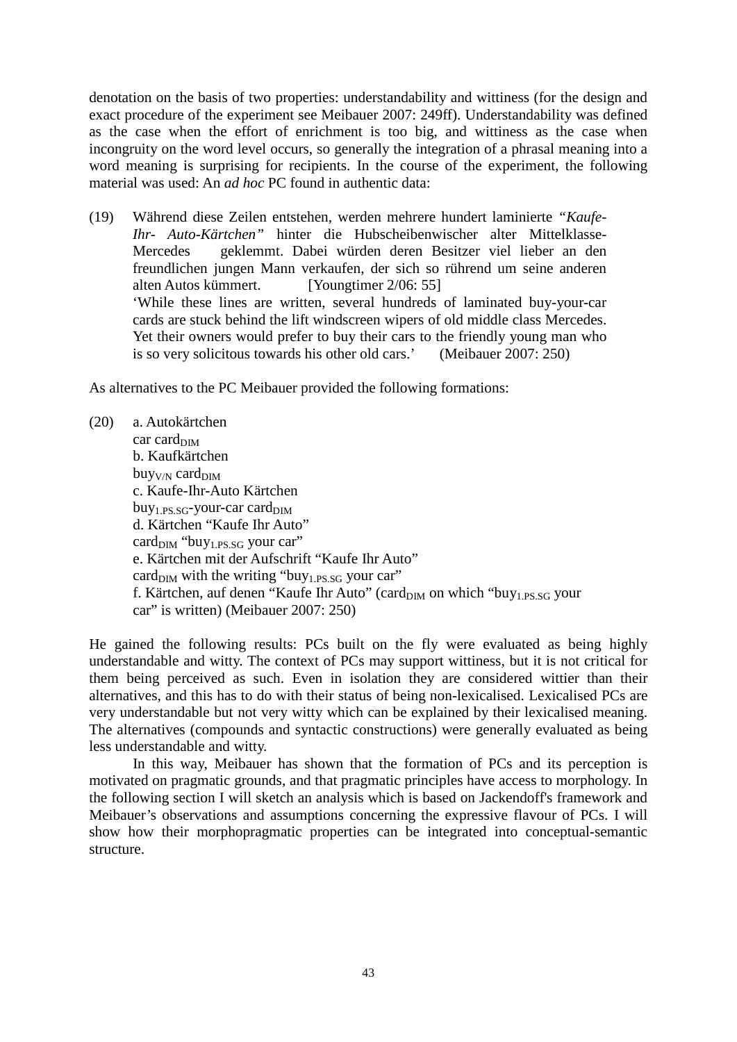denotation on the basis of two properties: understandability and wittiness (for the design and exact procedure of the experiment see Meibauer 2007: 249ff). Understandability was defined as the case when the effort of enrichment is too big, and wittiness as the case when incongruity on the word level occurs, so generally the integration of a phrasal meaning into a word meaning is surprising for recipients. In the course of the experiment, the following material was used: An *ad hoc* PC found in authentic data:

(19) Während diese Zeilen entstehen, werden mehrere hundert laminierte *"Kaufe-Ihr- Auto-Kärtchen"* hinter die Hubscheibenwischer alter Mittelklasse-Mercedes geklemmt. Dabei würden deren Besitzer viel lieber an den freundlichen jungen Mann verkaufen, der sich so rührend um seine anderen alten Autos kümmert. [Youngtimer 2/06: 55] 'While these lines are written, several hundreds of laminated buy-your-car cards are stuck behind the lift windscreen wipers of old middle class Mercedes. Yet their owners would prefer to buy their cars to the friendly young man who is so very solicitous towards his other old cars.' (Meibauer 2007: 250)

As alternatives to the PC Meibauer provided the following formations:

(20) a. Autokärtchen  $car \, card_{\text{DIM}}$ b. Kaufkärtchen  $b$ uy<sub>V/N</sub> card<sub>DIM</sub> c. Kaufe-Ihr-Auto Kärtchen  $buy_{1.PS.SG}$ -your-car card $_{\text{DIM}}$ d. Kärtchen "Kaufe Ihr Auto" card<sub>DIM</sub> "buy<sub>1.PS.SG</sub> your car" e. Kärtchen mit der Aufschrift "Kaufe Ihr Auto" card $_{\text{DIM}}$  with the writing "buy<sub>1.PS.SG</sub> your car" f. Kärtchen, auf denen "Kaufe Ihr Auto" (card<sub>DIM</sub> on which "buy<sub>1.PS.SG</sub> your car" is written) (Meibauer 2007: 250)

He gained the following results: PCs built on the fly were evaluated as being highly understandable and witty. The context of PCs may support wittiness, but it is not critical for them being perceived as such. Even in isolation they are considered wittier than their alternatives, and this has to do with their status of being non-lexicalised. Lexicalised PCs are very understandable but not very witty which can be explained by their lexicalised meaning. The alternatives (compounds and syntactic constructions) were generally evaluated as being less understandable and witty.

In this way, Meibauer has shown that the formation of PCs and its perception is motivated on pragmatic grounds, and that pragmatic principles have access to morphology. In the following section I will sketch an analysis which is based on Jackendoff's framework and Meibauer's observations and assumptions concerning the expressive flavour of PCs. I will show how their morphopragmatic properties can be integrated into conceptual-semantic structure.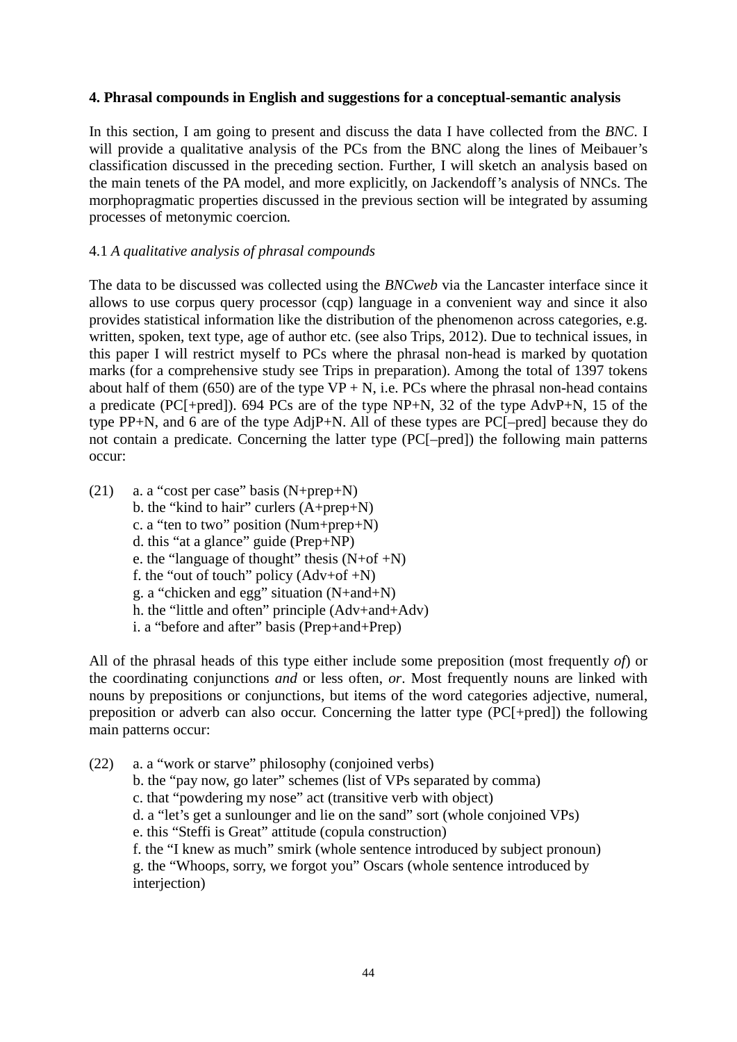## **4. Phrasal compounds in English and suggestions for a conceptual-semantic analysis**

In this section, I am going to present and discuss the data I have collected from the *BNC*. I will provide a qualitative analysis of the PCs from the BNC along the lines of Meibauer's classification discussed in the preceding section. Further, I will sketch an analysis based on the main tenets of the PA model, and more explicitly, on Jackendoff's analysis of NNCs. The morphopragmatic properties discussed in the previous section will be integrated by assuming processes of metonymic coercion*.*

# 4.1 *A qualitative analysis of phrasal compounds*

The data to be discussed was collected using the *BNCweb* via the Lancaster interface since it allows to use corpus query processor (cqp) language in a convenient way and since it also provides statistical information like the distribution of the phenomenon across categories, e.g. written, spoken, text type, age of author etc. (see also Trips, 2012). Due to technical issues, in this paper I will restrict myself to PCs where the phrasal non-head is marked by quotation marks (for a comprehensive study see Trips in preparation). Among the total of 1397 tokens about half of them (650) are of the type  $VP + N$ , i.e. PCs where the phrasal non-head contains a predicate (PC[+pred]). 694 PCs are of the type NP+N, 32 of the type AdvP+N, 15 of the type PP+N, and 6 are of the type AdjP+N. All of these types are PC[–pred] because they do not contain a predicate. Concerning the latter type (PC[–pred]) the following main patterns occur:

(21) a. a "cost per case" basis (N+prep+N) b. the "kind to hair" curlers (A+prep+N) c. a "ten to two" position (Num+prep+N) d. this "at a glance" guide (Prep+NP) e. the "language of thought" thesis  $(N+of+N)$ f. the "out of touch" policy  $(Adv+of+N)$ g. a "chicken and egg" situation (N+and+N) h. the "little and often" principle (Adv+and+Adv) i. a "before and after" basis (Prep+and+Prep)

All of the phrasal heads of this type either include some preposition (most frequently *of*) or the coordinating conjunctions *and* or less often, *or*. Most frequently nouns are linked with nouns by prepositions or conjunctions, but items of the word categories adjective, numeral, preposition or adverb can also occur. Concerning the latter type (PC[+pred]) the following main patterns occur:

(22) a. a "work or starve" philosophy (conjoined verbs) b. the "pay now, go later" schemes (list of VPs separated by comma) c. that "powdering my nose" act (transitive verb with object) d. a "let's get a sunlounger and lie on the sand" sort (whole conjoined VPs) e. this "Steffi is Great" attitude (copula construction) f. the "I knew as much" smirk (whole sentence introduced by subject pronoun) g. the "Whoops, sorry, we forgot you" Oscars (whole sentence introduced by interjection)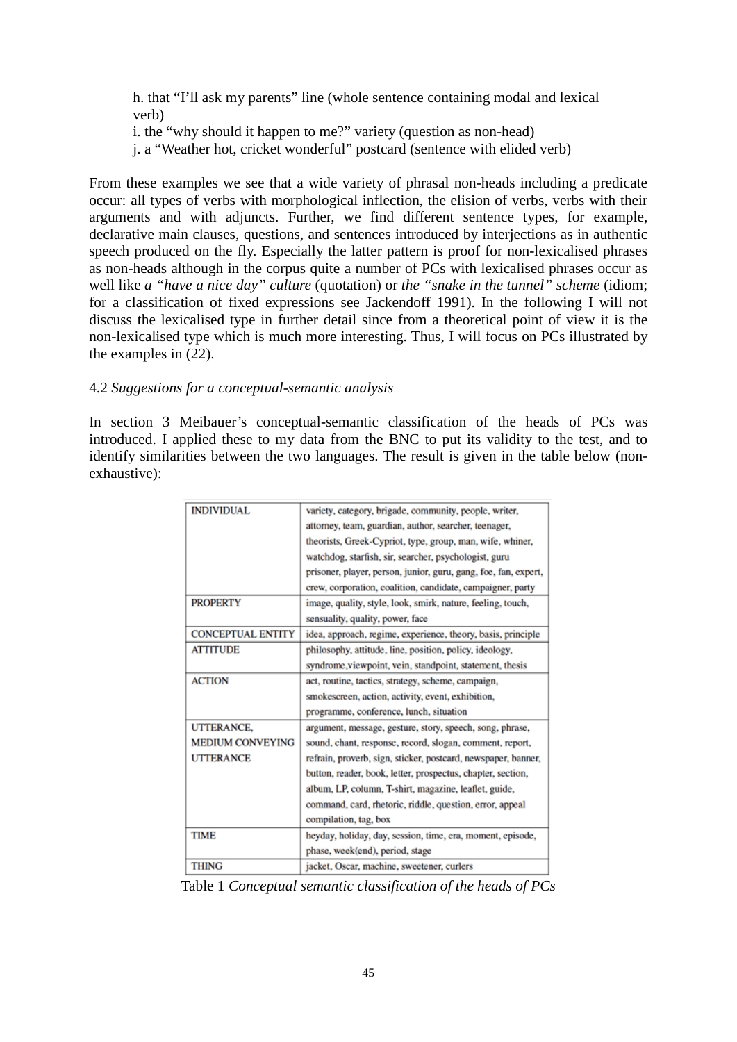h. that "I'll ask my parents" line (whole sentence containing modal and lexical verb)

i. the "why should it happen to me?" variety (question as non-head)

j. a "Weather hot, cricket wonderful" postcard (sentence with elided verb)

From these examples we see that a wide variety of phrasal non-heads including a predicate occur: all types of verbs with morphological inflection, the elision of verbs, verbs with their arguments and with adjuncts. Further, we find different sentence types, for example, declarative main clauses, questions, and sentences introduced by interjections as in authentic speech produced on the fly. Especially the latter pattern is proof for non-lexicalised phrases as non-heads although in the corpus quite a number of PCs with lexicalised phrases occur as well like *a "have a nice day" culture* (quotation) or *the "snake in the tunnel" scheme* (idiom; for a classification of fixed expressions see Jackendoff 1991). In the following I will not discuss the lexicalised type in further detail since from a theoretical point of view it is the non-lexicalised type which is much more interesting. Thus, I will focus on PCs illustrated by the examples in (22).

## 4.2 *Suggestions for a conceptual-semantic analysis*

In section 3 Meibauer's conceptual-semantic classification of the heads of PCs was introduced. I applied these to my data from the BNC to put its validity to the test, and to identify similarities between the two languages. The result is given in the table below (nonexhaustive):

| <b>INDIVIDUAL</b>        | variety, category, brigade, community, people, writer,          |
|--------------------------|-----------------------------------------------------------------|
|                          | attorney, team, guardian, author, searcher, teenager,           |
|                          | theorists, Greek-Cypriot, type, group, man, wife, whiner,       |
|                          | watchdog, starfish, sir, searcher, psychologist, guru           |
|                          | prisoner, player, person, junior, guru, gang, foe, fan, expert, |
|                          | crew, corporation, coalition, candidate, campaigner, party      |
| <b>PROPERTY</b>          | image, quality, style, look, smirk, nature, feeling, touch,     |
|                          | sensuality, quality, power, face                                |
| <b>CONCEPTUAL ENTITY</b> | idea, approach, regime, experience, theory, basis, principle    |
| <b>ATTITUDE</b>          | philosophy, attitude, line, position, policy, ideology,         |
|                          | syndrome, viewpoint, vein, standpoint, statement, thesis        |
| <b>ACTION</b>            | act, routine, tactics, strategy, scheme, campaign,              |
|                          | smokescreen, action, activity, event, exhibition,               |
|                          | programme, conference, lunch, situation                         |
| UTTERANCE.               | argument, message, gesture, story, speech, song, phrase,        |
| <b>MEDIUM CONVEYING</b>  | sound, chant, response, record, slogan, comment, report,        |
| <b>UTTERANCE</b>         | refrain, proverb, sign, sticker, postcard, newspaper, banner,   |
|                          | button, reader, book, letter, prospectus, chapter, section,     |
|                          | album, LP, column, T-shirt, magazine, leaflet, guide,           |
|                          | command, card, rhetoric, riddle, question, error, appeal        |
|                          | compilation, tag, box                                           |
| <b>TIME</b>              | heyday, holiday, day, session, time, era, moment, episode,      |
|                          | phase, week(end), period, stage                                 |
| <b>THING</b>             | jacket, Oscar, machine, sweetener, curlers                      |

Table 1 *Conceptual semantic classification of the heads of PCs*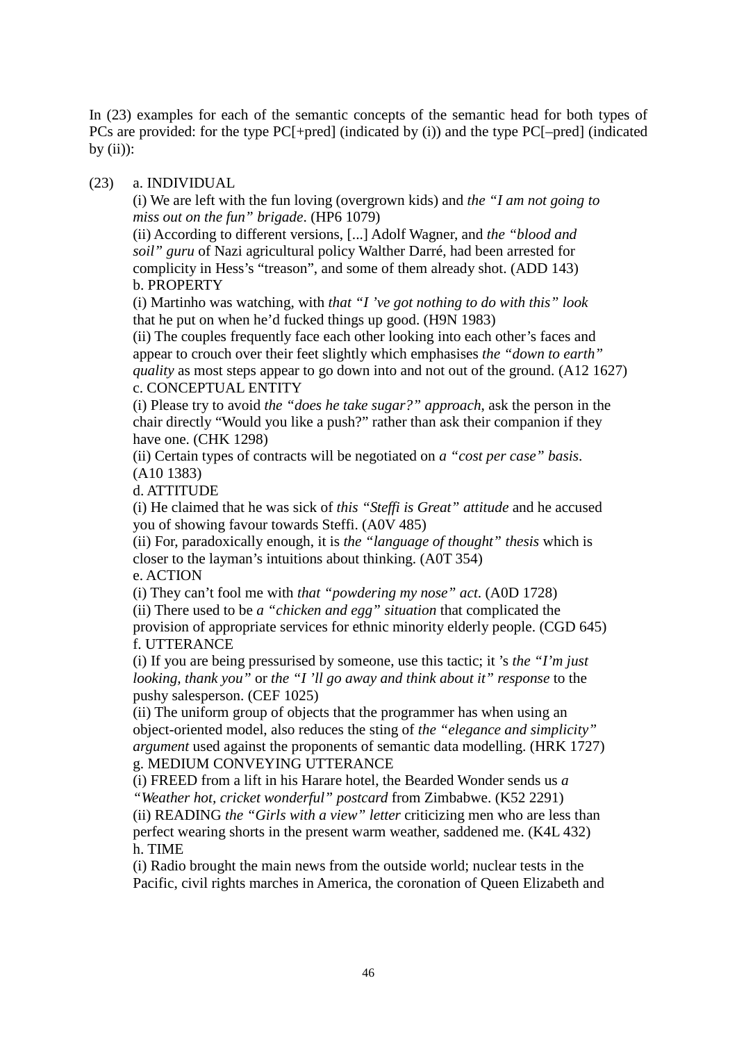In (23) examples for each of the semantic concepts of the semantic head for both types of PCs are provided: for the type PC[+pred] (indicated by (i)) and the type PC[–pred] (indicated by  $(ii)$ :

## (23) a. INDIVIDUAL

(i) We are left with the fun loving (overgrown kids) and *the "I am not going to miss out on the fun" brigade*. (HP6 1079)

(ii) According to different versions, [...] Adolf Wagner, and *the "blood and soil" guru* of Nazi agricultural policy Walther Darré, had been arrested for complicity in Hess's "treason", and some of them already shot. (ADD 143) b. PROPERTY

(i) Martinho was watching, with *that "I 've got nothing to do with this" look* that he put on when he'd fucked things up good. (H9N 1983)

(ii) The couples frequently face each other looking into each other's faces and appear to crouch over their feet slightly which emphasises *the "down to earth" quality* as most steps appear to go down into and not out of the ground. (A12 1627) c. CONCEPTUAL ENTITY

(i) Please try to avoid *the "does he take sugar?" approach*, ask the person in the chair directly "Would you like a push?" rather than ask their companion if they have one. (CHK 1298)

(ii) Certain types of contracts will be negotiated on *a "cost per case" basis*. (A10 1383)

d. ATTITUDE

(i) He claimed that he was sick of *this "Steffi is Great" attitude* and he accused you of showing favour towards Steffi. (A0V 485)

(ii) For, paradoxically enough, it is *the "language of thought" thesis* which is closer to the layman's intuitions about thinking. (A0T 354)

e. ACTION

(i) They can't fool me with *that "powdering my nose" act*. (A0D 1728) (ii) There used to be *a "chicken and egg" situation* that complicated the provision of appropriate services for ethnic minority elderly people. (CGD 645) f. UTTERANCE

(i) If you are being pressurised by someone, use this tactic; it 's *the "I'm just looking, thank you"* or *the "I 'll go away and think about it" response* to the pushy salesperson. (CEF 1025)

(ii) The uniform group of objects that the programmer has when using an object-oriented model, also reduces the sting of *the "elegance and simplicity" argument* used against the proponents of semantic data modelling. (HRK 1727) g. MEDIUM CONVEYING UTTERANCE

(i) FREED from a lift in his Harare hotel, the Bearded Wonder sends us *a "Weather hot, cricket wonderful" postcard* from Zimbabwe. (K52 2291)

(ii) READING *the "Girls with a view" letter* criticizing men who are less than perfect wearing shorts in the present warm weather, saddened me. (K4L 432) h. TIME

(i) Radio brought the main news from the outside world; nuclear tests in the Pacific, civil rights marches in America, the coronation of Queen Elizabeth and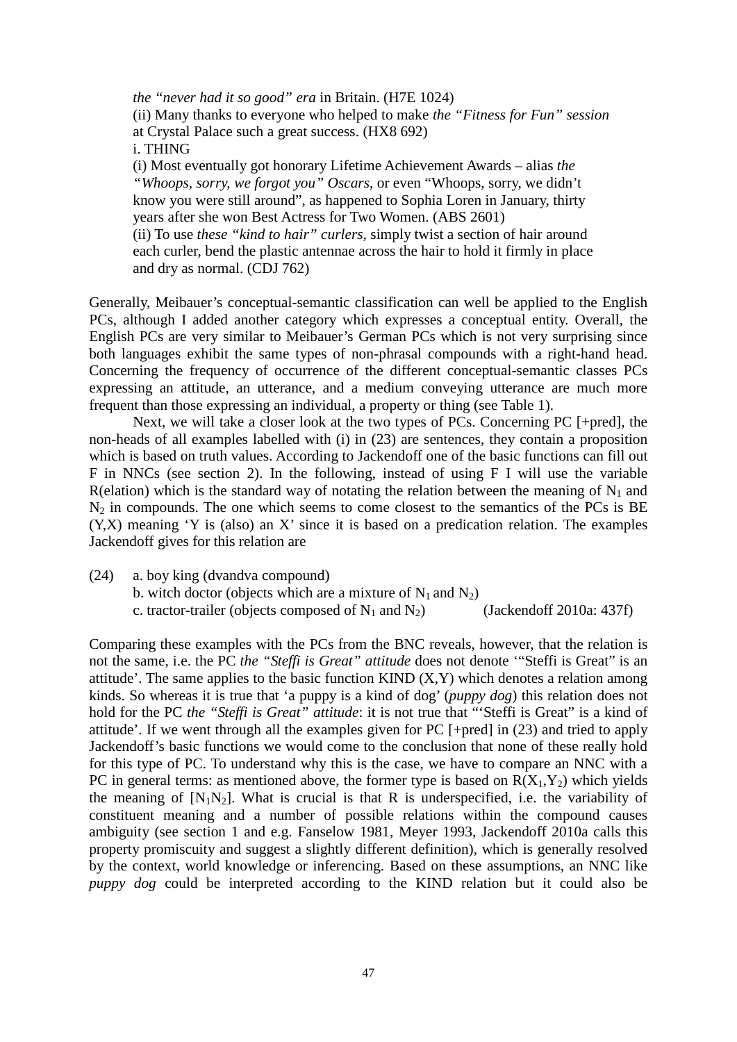*the "never had it so good" era* in Britain. (H7E 1024) (ii) Many thanks to everyone who helped to make *the "Fitness for Fun" session* at Crystal Palace such a great success. (HX8 692) i. THING (i) Most eventually got honorary Lifetime Achievement Awards – alias *the "Whoops, sorry, we forgot you" Oscars*, or even "Whoops, sorry, we didn't know you were still around", as happened to Sophia Loren in January, thirty years after she won Best Actress for Two Women. (ABS 2601) (ii) To use *these "kind to hair" curlers*, simply twist a section of hair around each curler, bend the plastic antennae across the hair to hold it firmly in place and dry as normal. (CDJ 762)

Generally, Meibauer's conceptual-semantic classification can well be applied to the English PCs, although I added another category which expresses a conceptual entity. Overall, the English PCs are very similar to Meibauer's German PCs which is not very surprising since both languages exhibit the same types of non-phrasal compounds with a right-hand head. Concerning the frequency of occurrence of the different conceptual-semantic classes PCs expressing an attitude, an utterance, and a medium conveying utterance are much more frequent than those expressing an individual, a property or thing (see Table 1).

Next, we will take a closer look at the two types of PCs. Concerning PC [+pred], the non-heads of all examples labelled with (i) in (23) are sentences, they contain a proposition which is based on truth values. According to Jackendoff one of the basic functions can fill out F in NNCs (see section 2). In the following, instead of using F I will use the variable R(elation) which is the standard way of notating the relation between the meaning of  $N_1$  and  $N_2$  in compounds. The one which seems to come closest to the semantics of the PCs is BE (Y,X) meaning 'Y is (also) an X' since it is based on a predication relation. The examples Jackendoff gives for this relation are

(24) a. boy king (dvandva compound) b. witch doctor (objects which are a mixture of  $N_1$  and  $N_2$ ) c. tractor-trailer (objects composed of  $N_1$  and  $N_2$ ) (Jackendoff 2010a: 437f)

Comparing these examples with the PCs from the BNC reveals, however, that the relation is not the same, i.e. the PC *the "Steffi is Great" attitude* does not denote '"Steffi is Great" is an attitude'. The same applies to the basic function KIND  $(X, Y)$  which denotes a relation among kinds. So whereas it is true that 'a puppy is a kind of dog' (*puppy dog*) this relation does not hold for the PC *the "Steffi is Great" attitude*: it is not true that "'Steffi is Great" is a kind of attitude'. If we went through all the examples given for PC [+pred] in (23) and tried to apply Jackendoff's basic functions we would come to the conclusion that none of these really hold for this type of PC. To understand why this is the case, we have to compare an NNC with a PC in general terms: as mentioned above, the former type is based on  $R(X_1, Y_2)$  which yields the meaning of  $[N_1N_2]$ . What is crucial is that R is underspecified, i.e. the variability of constituent meaning and a number of possible relations within the compound causes ambiguity (see section 1 and e.g. Fanselow 1981, Meyer 1993, Jackendoff 2010a calls this property promiscuity and suggest a slightly different definition), which is generally resolved by the context, world knowledge or inferencing. Based on these assumptions, an NNC like *puppy dog* could be interpreted according to the KIND relation but it could also be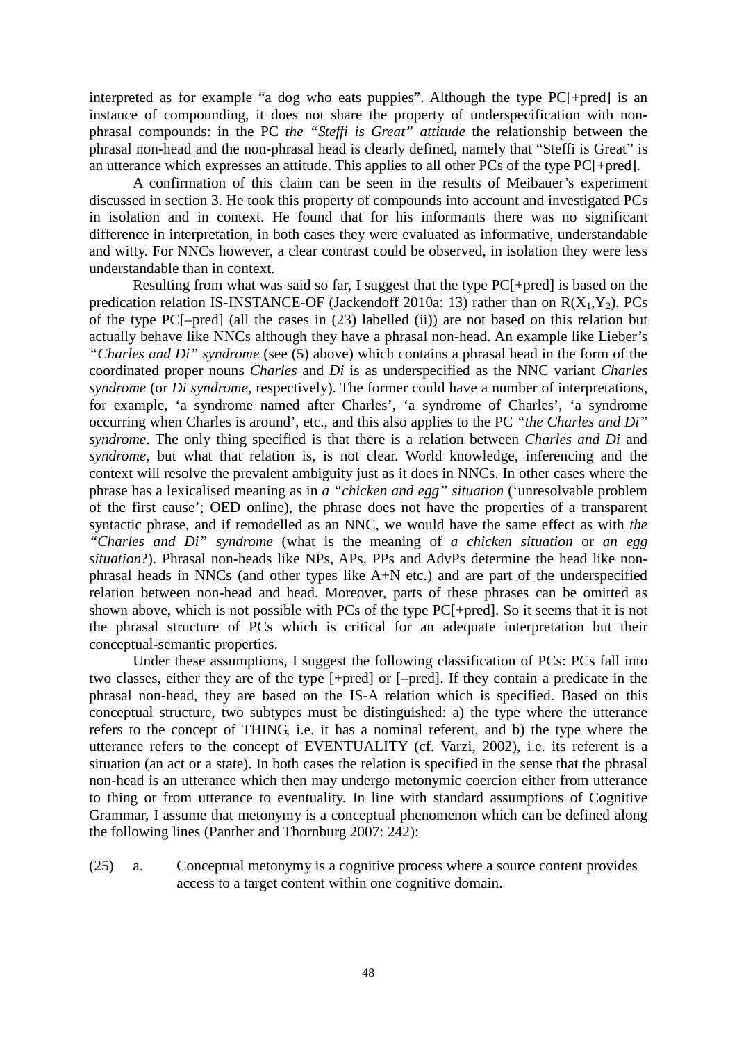interpreted as for example "a dog who eats puppies". Although the type PC[+pred] is an instance of compounding, it does not share the property of underspecification with nonphrasal compounds: in the PC *the "Steffi is Great" attitude* the relationship between the phrasal non-head and the non-phrasal head is clearly defined, namely that "Steffi is Great" is an utterance which expresses an attitude. This applies to all other PCs of the type PC[+pred].

A confirmation of this claim can be seen in the results of Meibauer's experiment discussed in section 3. He took this property of compounds into account and investigated PCs in isolation and in context. He found that for his informants there was no significant difference in interpretation, in both cases they were evaluated as informative, understandable and witty. For NNCs however, a clear contrast could be observed, in isolation they were less understandable than in context.

Resulting from what was said so far, I suggest that the type PC[+pred] is based on the predication relation IS-INSTANCE-OF (Jackendoff 2010a: 13) rather than on  $R(X_1, Y_2)$ . PCs of the type PC[–pred] (all the cases in (23) labelled (ii)) are not based on this relation but actually behave like NNCs although they have a phrasal non-head. An example like Lieber's *"Charles and Di" syndrome* (see (5) above) which contains a phrasal head in the form of the coordinated proper nouns *Charles* and *Di* is as underspecified as the NNC variant *Charles syndrome* (or *Di syndrome*, respectively). The former could have a number of interpretations, for example, 'a syndrome named after Charles', 'a syndrome of Charles', 'a syndrome occurring when Charles is around', etc., and this also applies to the PC *"the Charles and Di" syndrome*. The only thing specified is that there is a relation between *Charles and Di* and *syndrome,* but what that relation is, is not clear. World knowledge, inferencing and the context will resolve the prevalent ambiguity just as it does in NNCs. In other cases where the phrase has a lexicalised meaning as in *a "chicken and egg" situation* ('unresolvable problem of the first cause'; OED online), the phrase does not have the properties of a transparent syntactic phrase, and if remodelled as an NNC, we would have the same effect as with *the "Charles and Di" syndrome* (what is the meaning of *a chicken situation* or *an egg situation*?). Phrasal non-heads like NPs, APs, PPs and AdvPs determine the head like nonphrasal heads in NNCs (and other types like A+N etc.) and are part of the underspecified relation between non-head and head. Moreover, parts of these phrases can be omitted as shown above, which is not possible with PCs of the type PC[+pred]. So it seems that it is not the phrasal structure of PCs which is critical for an adequate interpretation but their conceptual-semantic properties.

Under these assumptions, I suggest the following classification of PCs: PCs fall into two classes, either they are of the type [+pred] or [–pred]. If they contain a predicate in the phrasal non-head, they are based on the IS-A relation which is specified. Based on this conceptual structure, two subtypes must be distinguished: a) the type where the utterance refers to the concept of THING, i.e. it has a nominal referent, and b) the type where the utterance refers to the concept of EVENTUALITY (cf. Varzi, 2002), i.e. its referent is a situation (an act or a state). In both cases the relation is specified in the sense that the phrasal non-head is an utterance which then may undergo metonymic coercion either from utterance to thing or from utterance to eventuality. In line with standard assumptions of Cognitive Grammar, I assume that metonymy is a conceptual phenomenon which can be defined along the following lines (Panther and Thornburg 2007: 242):

(25) a. Conceptual metonymy is a cognitive process where a source content provides access to a target content within one cognitive domain.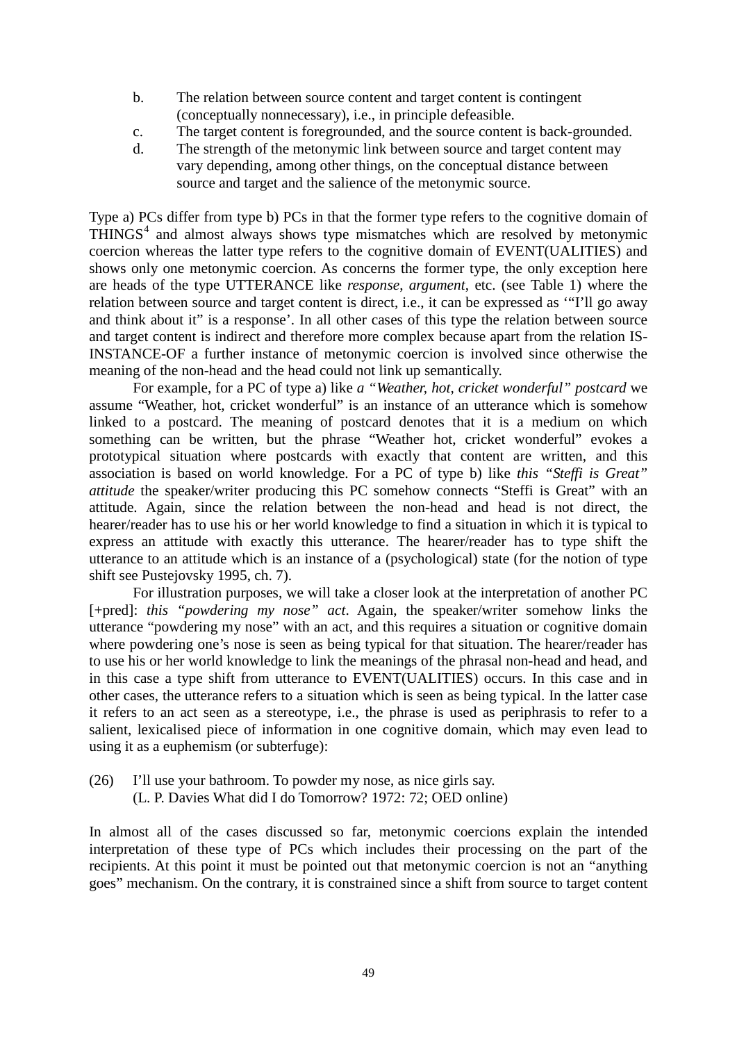- b. The relation between source content and target content is contingent (conceptually nonnecessary), i.e., in principle defeasible.
- c. The target content is foregrounded, and the source content is back-grounded.
- d. The strength of the metonymic link between source and target content may vary depending, among other things, on the conceptual distance between source and target and the salience of the metonymic source.

Type a) PCs differ from type b) PCs in that the former type refers to the cognitive domain of  $THINGS<sup>4</sup>$  $THINGS<sup>4</sup>$  $THINGS<sup>4</sup>$  and almost always shows type mismatches which are resolved by metonymic coercion whereas the latter type refers to the cognitive domain of EVENT(UALITIES) and shows only one metonymic coercion. As concerns the former type, the only exception here are heads of the type UTTERANCE like *response*, *argument*, etc. (see Table 1) where the relation between source and target content is direct, i.e., it can be expressed as '"I'll go away and think about it" is a response'. In all other cases of this type the relation between source and target content is indirect and therefore more complex because apart from the relation IS-INSTANCE-OF a further instance of metonymic coercion is involved since otherwise the meaning of the non-head and the head could not link up semantically.

For example, for a PC of type a) like *a "Weather, hot, cricket wonderful" postcard* we assume "Weather, hot, cricket wonderful" is an instance of an utterance which is somehow linked to a postcard. The meaning of postcard denotes that it is a medium on which something can be written, but the phrase "Weather hot, cricket wonderful" evokes a prototypical situation where postcards with exactly that content are written, and this association is based on world knowledge. For a PC of type b) like *this "Steffi is Great" attitude* the speaker/writer producing this PC somehow connects "Steffi is Great" with an attitude. Again, since the relation between the non-head and head is not direct, the hearer/reader has to use his or her world knowledge to find a situation in which it is typical to express an attitude with exactly this utterance. The hearer/reader has to type shift the utterance to an attitude which is an instance of a (psychological) state (for the notion of type shift see Pustejovsky 1995, ch. 7).

For illustration purposes, we will take a closer look at the interpretation of another PC [+pred]: *this "powdering my nose" act*. Again, the speaker/writer somehow links the utterance "powdering my nose" with an act, and this requires a situation or cognitive domain where powdering one's nose is seen as being typical for that situation. The hearer/reader has to use his or her world knowledge to link the meanings of the phrasal non-head and head, and in this case a type shift from utterance to EVENT(UALITIES) occurs. In this case and in other cases, the utterance refers to a situation which is seen as being typical. In the latter case it refers to an act seen as a stereotype, i.e., the phrase is used as periphrasis to refer to a salient, lexicalised piece of information in one cognitive domain, which may even lead to using it as a euphemism (or subterfuge):

(26) I'll use your bathroom. To powder my nose, as nice girls say. (L. P. Davies What did I do Tomorrow? 1972: 72; OED online)

In almost all of the cases discussed so far, metonymic coercions explain the intended interpretation of these type of PCs which includes their processing on the part of the recipients. At this point it must be pointed out that metonymic coercion is not an "anything goes" mechanism. On the contrary, it is constrained since a shift from source to target content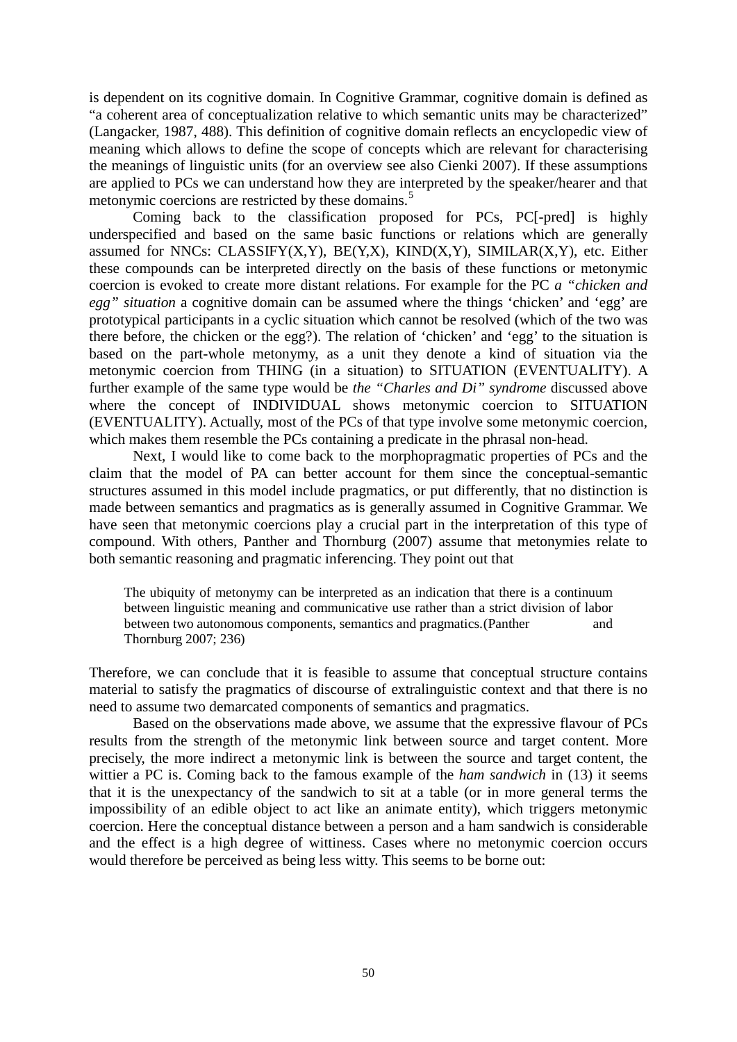is dependent on its cognitive domain. In Cognitive Grammar, cognitive domain is defined as "a coherent area of conceptualization relative to which semantic units may be characterized" (Langacker, 1987, 488). This definition of cognitive domain reflects an encyclopedic view of meaning which allows to define the scope of concepts which are relevant for characterising the meanings of linguistic units (for an overview see also Cienki 2007). If these assumptions are applied to PCs we can understand how they are interpreted by the speaker/hearer and that metonymic coercions are restricted by these domains.<sup>[5](#page-27-4)</sup>

Coming back to the classification proposed for PCs, PC[-pred] is highly underspecified and based on the same basic functions or relations which are generally assumed for NNCs: CLASSIFY(X,Y), BE(Y,X), KIND(X,Y), SIMILAR(X,Y), etc. Either these compounds can be interpreted directly on the basis of these functions or metonymic coercion is evoked to create more distant relations. For example for the PC *a "chicken and egg" situation* a cognitive domain can be assumed where the things 'chicken' and 'egg' are prototypical participants in a cyclic situation which cannot be resolved (which of the two was there before, the chicken or the egg?). The relation of 'chicken' and 'egg' to the situation is based on the part-whole metonymy, as a unit they denote a kind of situation via the metonymic coercion from THING (in a situation) to SITUATION (EVENTUALITY). A further example of the same type would be *the "Charles and Di" syndrome* discussed above where the concept of INDIVIDUAL shows metonymic coercion to SITUATION (EVENTUALITY). Actually, most of the PCs of that type involve some metonymic coercion, which makes them resemble the PCs containing a predicate in the phrasal non-head.

Next, I would like to come back to the morphopragmatic properties of PCs and the claim that the model of PA can better account for them since the conceptual-semantic structures assumed in this model include pragmatics, or put differently, that no distinction is made between semantics and pragmatics as is generally assumed in Cognitive Grammar. We have seen that metonymic coercions play a crucial part in the interpretation of this type of compound. With others, Panther and Thornburg (2007) assume that metonymies relate to both semantic reasoning and pragmatic inferencing. They point out that

The ubiquity of metonymy can be interpreted as an indication that there is a continuum between linguistic meaning and communicative use rather than a strict division of labor between two autonomous components, semantics and pragmatics.(Panther and and Thornburg 2007; 236)

Therefore, we can conclude that it is feasible to assume that conceptual structure contains material to satisfy the pragmatics of discourse of extralinguistic context and that there is no need to assume two demarcated components of semantics and pragmatics.

Based on the observations made above, we assume that the expressive flavour of PCs results from the strength of the metonymic link between source and target content. More precisely, the more indirect a metonymic link is between the source and target content, the wittier a PC is. Coming back to the famous example of the *ham sandwich* in (13) it seems that it is the unexpectancy of the sandwich to sit at a table (or in more general terms the impossibility of an edible object to act like an animate entity), which triggers metonymic coercion. Here the conceptual distance between a person and a ham sandwich is considerable and the effect is a high degree of wittiness. Cases where no metonymic coercion occurs would therefore be perceived as being less witty. This seems to be borne out: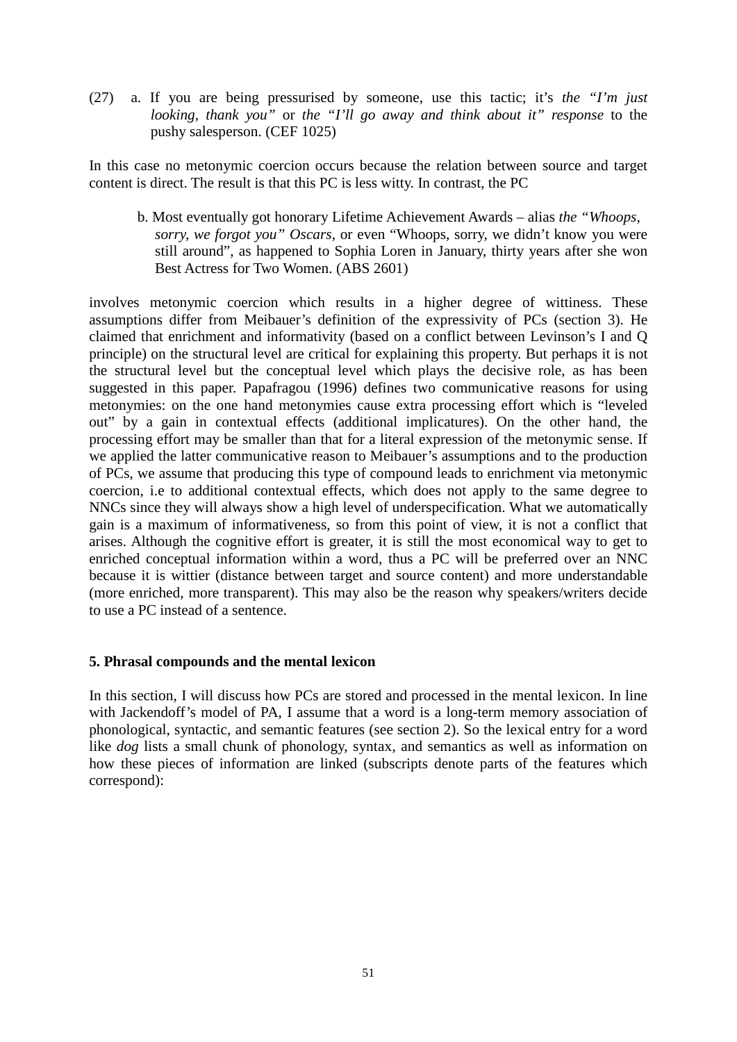(27) a. If you are being pressurised by someone, use this tactic; it's *the "I'm just looking, thank you"* or *the "I'll go away and think about it" response* to the pushy salesperson. (CEF 1025)

In this case no metonymic coercion occurs because the relation between source and target content is direct. The result is that this PC is less witty. In contrast, the PC

 b. Most eventually got honorary Lifetime Achievement Awards – alias *the "Whoops, sorry, we forgot you" Oscars*, or even "Whoops, sorry, we didn't know you were still around", as happened to Sophia Loren in January, thirty years after she won Best Actress for Two Women. (ABS 2601)

involves metonymic coercion which results in a higher degree of wittiness. These assumptions differ from Meibauer's definition of the expressivity of PCs (section 3). He claimed that enrichment and informativity (based on a conflict between Levinson's I and Q principle) on the structural level are critical for explaining this property. But perhaps it is not the structural level but the conceptual level which plays the decisive role, as has been suggested in this paper. Papafragou (1996) defines two communicative reasons for using metonymies: on the one hand metonymies cause extra processing effort which is "leveled out" by a gain in contextual effects (additional implicatures). On the other hand, the processing effort may be smaller than that for a literal expression of the metonymic sense. If we applied the latter communicative reason to Meibauer's assumptions and to the production of PCs, we assume that producing this type of compound leads to enrichment via metonymic coercion, i.e to additional contextual effects, which does not apply to the same degree to NNCs since they will always show a high level of underspecification. What we automatically gain is a maximum of informativeness, so from this point of view, it is not a conflict that arises. Although the cognitive effort is greater, it is still the most economical way to get to enriched conceptual information within a word, thus a PC will be preferred over an NNC because it is wittier (distance between target and source content) and more understandable (more enriched, more transparent). This may also be the reason why speakers/writers decide to use a PC instead of a sentence.

## **5. Phrasal compounds and the mental lexicon**

In this section, I will discuss how PCs are stored and processed in the mental lexicon. In line with Jackendoff's model of PA, I assume that a word is a long-term memory association of phonological, syntactic, and semantic features (see section 2). So the lexical entry for a word like *dog* lists a small chunk of phonology, syntax, and semantics as well as information on how these pieces of information are linked (subscripts denote parts of the features which correspond):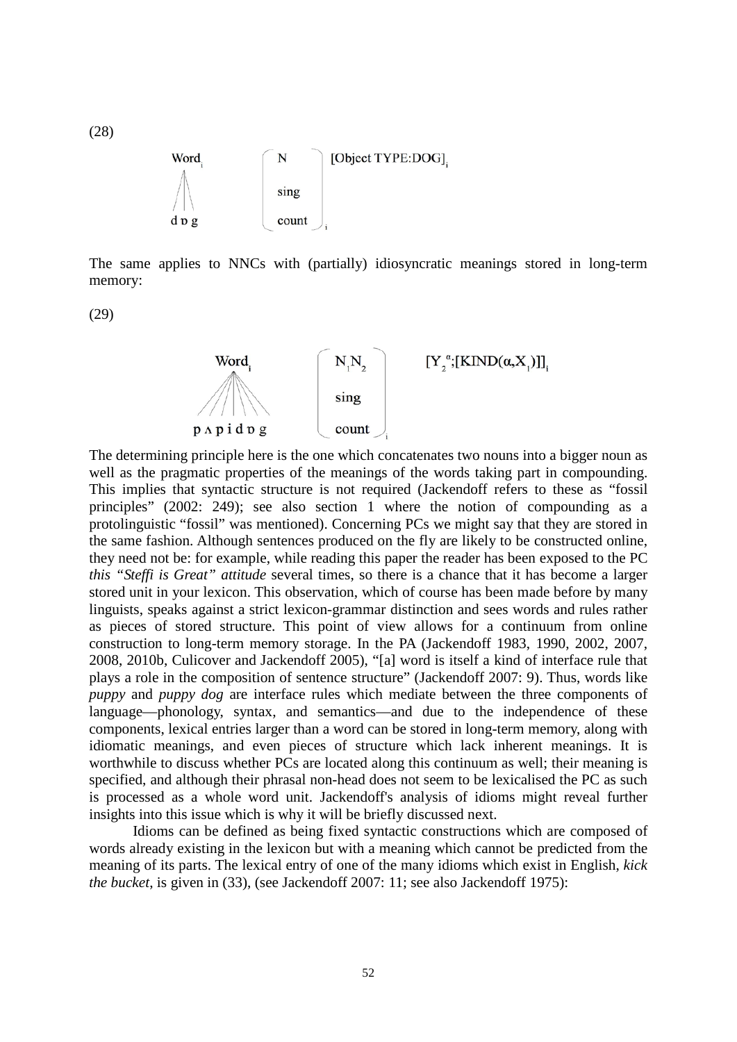[Object TYPE:DOG]. Word N sing dpg count

The same applies to NNCs with (partially) idiosyncratic meanings stored in long-term memory:

(29)

(28)



The determining principle here is the one which concatenates two nouns into a bigger noun as well as the pragmatic properties of the meanings of the words taking part in compounding. This implies that syntactic structure is not required (Jackendoff refers to these as "fossil principles" (2002: 249); see also section 1 where the notion of compounding as a protolinguistic "fossil" was mentioned). Concerning PCs we might say that they are stored in the same fashion. Although sentences produced on the fly are likely to be constructed online, they need not be: for example, while reading this paper the reader has been exposed to the PC *this "Steffi is Great" attitude* several times, so there is a chance that it has become a larger stored unit in your lexicon. This observation, which of course has been made before by many linguists, speaks against a strict lexicon-grammar distinction and sees words and rules rather as pieces of stored structure. This point of view allows for a continuum from online construction to long-term memory storage. In the PA (Jackendoff 1983, 1990, 2002, 2007, 2008, 2010b, Culicover and Jackendoff 2005), "[a] word is itself a kind of interface rule that plays a role in the composition of sentence structure" (Jackendoff 2007: 9). Thus, words like *puppy* and *puppy dog* are interface rules which mediate between the three components of language—phonology, syntax, and semantics—and due to the independence of these components, lexical entries larger than a word can be stored in long-term memory, along with idiomatic meanings, and even pieces of structure which lack inherent meanings. It is worthwhile to discuss whether PCs are located along this continuum as well; their meaning is specified, and although their phrasal non-head does not seem to be lexicalised the PC as such is processed as a whole word unit. Jackendoff's analysis of idioms might reveal further insights into this issue which is why it will be briefly discussed next.

Idioms can be defined as being fixed syntactic constructions which are composed of words already existing in the lexicon but with a meaning which cannot be predicted from the meaning of its parts. The lexical entry of one of the many idioms which exist in English, *kick the bucket*, is given in (33), (see Jackendoff 2007: 11; see also Jackendoff 1975):

52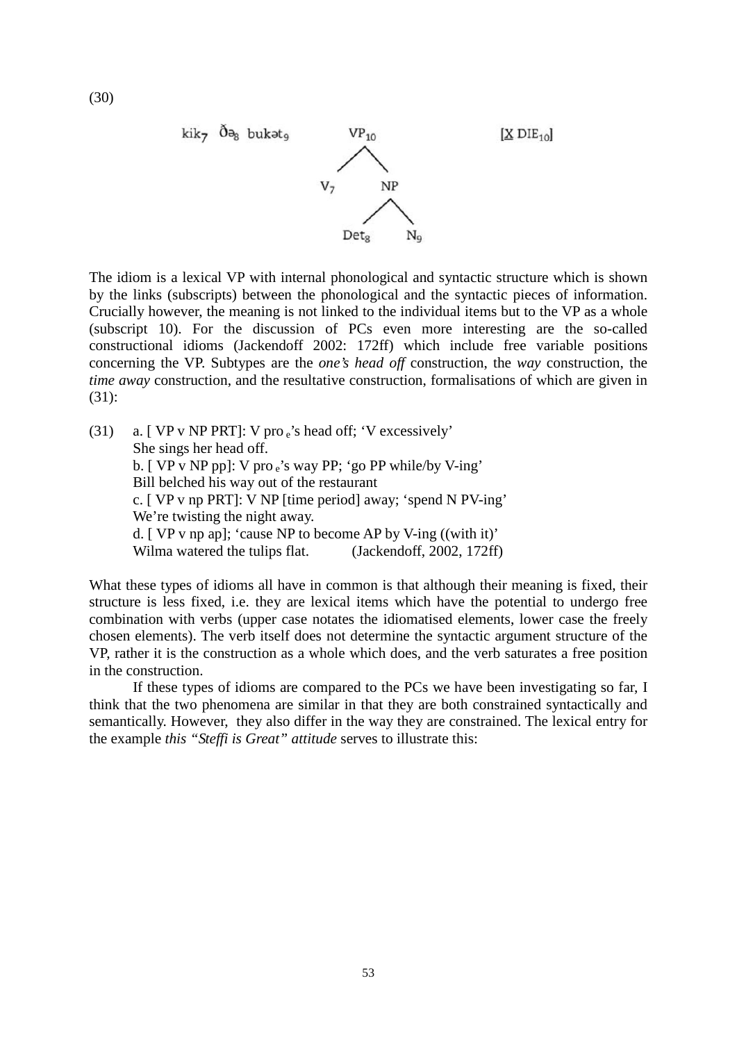

The idiom is a lexical VP with internal phonological and syntactic structure which is shown by the links (subscripts) between the phonological and the syntactic pieces of information. Crucially however, the meaning is not linked to the individual items but to the VP as a whole (subscript 10). For the discussion of PCs even more interesting are the so-called constructional idioms (Jackendoff 2002: 172ff) which include free variable positions concerning the VP. Subtypes are the *one's head off* construction, the *way* construction, the *time away* construction, and the resultative construction, formalisations of which are given in (31):

(31) a. [ VP v NP PRT]: V pro e's head off; 'V excessively' She sings her head off. b. [ VP v NP pp]: V pro e's way PP; 'go PP while/by V-ing' Bill belched his way out of the restaurant c. [ VP v np PRT]: V NP [time period] away; 'spend N PV-ing' We're twisting the night away. d. [ VP v np ap]; 'cause NP to become AP by V-ing ((with it)' Wilma watered the tulips flat. (Jackendoff, 2002, 172ff)

What these types of idioms all have in common is that although their meaning is fixed, their structure is less fixed, i.e. they are lexical items which have the potential to undergo free combination with verbs (upper case notates the idiomatised elements, lower case the freely chosen elements). The verb itself does not determine the syntactic argument structure of the VP, rather it is the construction as a whole which does, and the verb saturates a free position in the construction.

If these types of idioms are compared to the PCs we have been investigating so far, I think that the two phenomena are similar in that they are both constrained syntactically and semantically. However, they also differ in the way they are constrained. The lexical entry for the example *this "Steffi is Great" attitude* serves to illustrate this: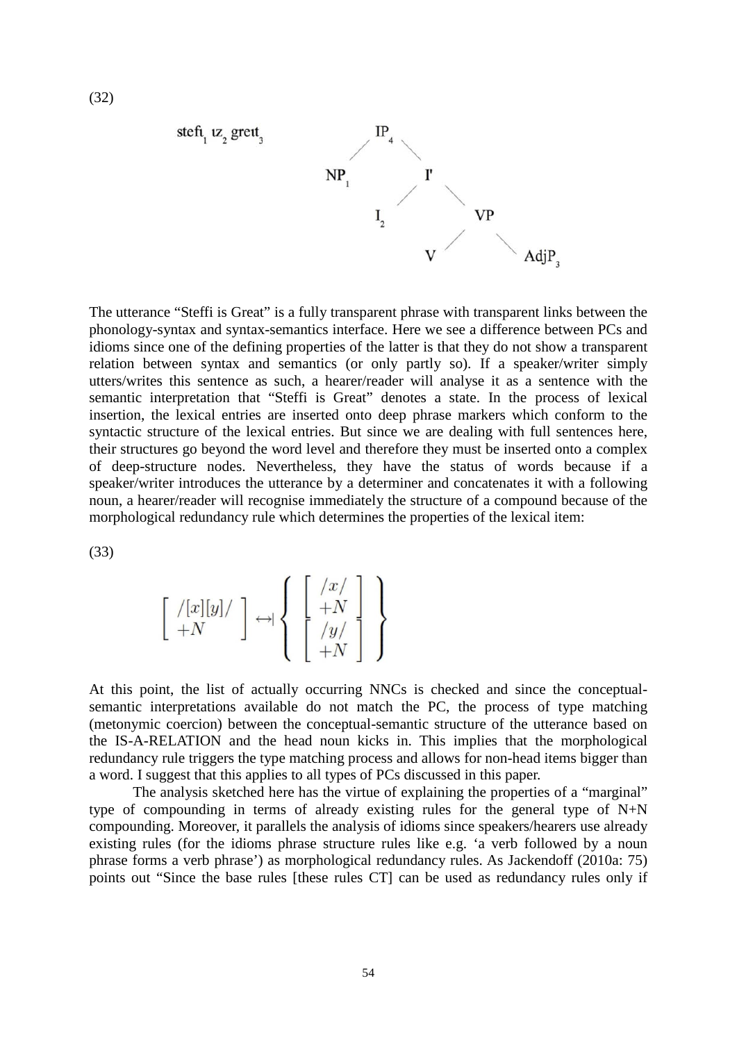

The utterance "Steffi is Great" is a fully transparent phrase with transparent links between the phonology-syntax and syntax-semantics interface. Here we see a difference between PCs and idioms since one of the defining properties of the latter is that they do not show a transparent relation between syntax and semantics (or only partly so). If a speaker/writer simply utters/writes this sentence as such, a hearer/reader will analyse it as a sentence with the semantic interpretation that "Steffi is Great" denotes a state. In the process of lexical insertion, the lexical entries are inserted onto deep phrase markers which conform to the syntactic structure of the lexical entries. But since we are dealing with full sentences here, their structures go beyond the word level and therefore they must be inserted onto a complex of deep-structure nodes. Nevertheless, they have the status of words because if a speaker/writer introduces the utterance by a determiner and concatenates it with a following noun, a hearer/reader will recognise immediately the structure of a compound because of the morphological redundancy rule which determines the properties of the lexical item:

(33)

$$
\left[\begin{array}{c} / [x][y] / \\ +N \end{array}\right] \leftrightarrow \left\{\begin{array}{c} \left[\begin{array}{c} /x/ \\ +N \\ \left[\begin{array}{c} y/ \\ +N \end{array}\right] \\ +N \end{array}\right] \end{array}\right\}
$$

At this point, the list of actually occurring NNCs is checked and since the conceptualsemantic interpretations available do not match the PC, the process of type matching (metonymic coercion) between the conceptual-semantic structure of the utterance based on the IS-A-RELATION and the head noun kicks in. This implies that the morphological redundancy rule triggers the type matching process and allows for non-head items bigger than a word. I suggest that this applies to all types of PCs discussed in this paper.

The analysis sketched here has the virtue of explaining the properties of a "marginal" type of compounding in terms of already existing rules for the general type of N+N compounding. Moreover, it parallels the analysis of idioms since speakers/hearers use already existing rules (for the idioms phrase structure rules like e.g. 'a verb followed by a noun phrase forms a verb phrase') as morphological redundancy rules. As Jackendoff (2010a: 75) points out "Since the base rules [these rules CT] can be used as redundancy rules only if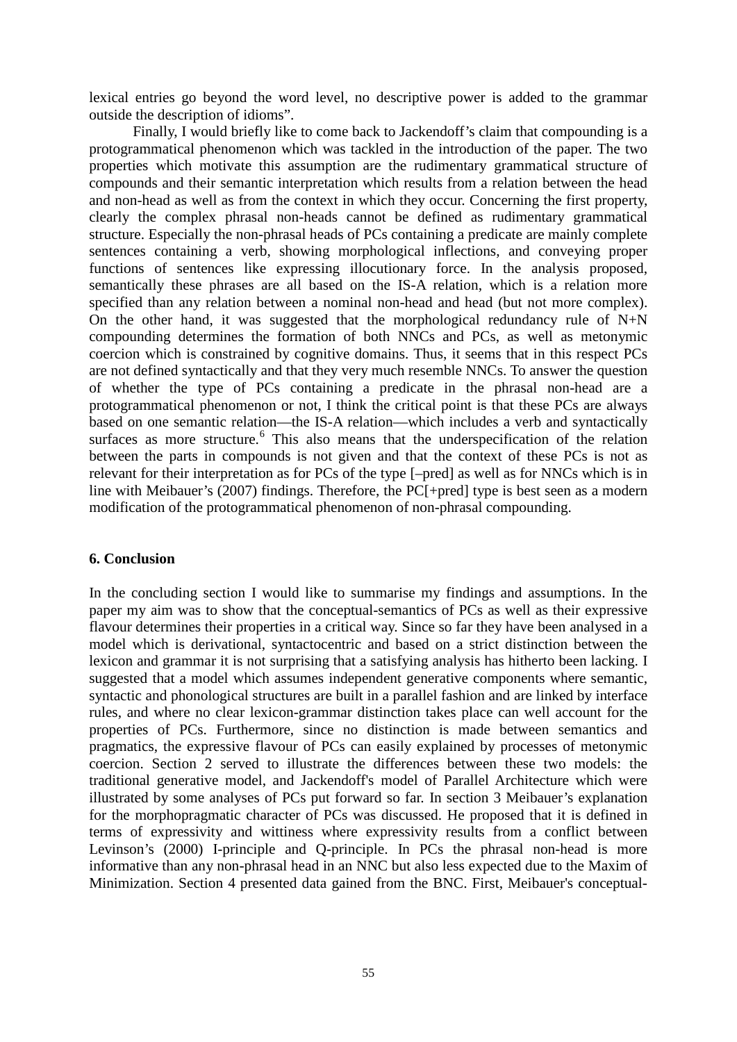lexical entries go beyond the word level, no descriptive power is added to the grammar outside the description of idioms".

Finally, I would briefly like to come back to Jackendoff's claim that compounding is a protogrammatical phenomenon which was tackled in the introduction of the paper. The two properties which motivate this assumption are the rudimentary grammatical structure of compounds and their semantic interpretation which results from a relation between the head and non-head as well as from the context in which they occur. Concerning the first property, clearly the complex phrasal non-heads cannot be defined as rudimentary grammatical structure. Especially the non-phrasal heads of PCs containing a predicate are mainly complete sentences containing a verb, showing morphological inflections, and conveying proper functions of sentences like expressing illocutionary force. In the analysis proposed, semantically these phrases are all based on the IS-A relation, which is a relation more specified than any relation between a nominal non-head and head (but not more complex). On the other hand, it was suggested that the morphological redundancy rule of  $N+N$ compounding determines the formation of both NNCs and PCs, as well as metonymic coercion which is constrained by cognitive domains. Thus, it seems that in this respect PCs are not defined syntactically and that they very much resemble NNCs. To answer the question of whether the type of PCs containing a predicate in the phrasal non-head are a protogrammatical phenomenon or not, I think the critical point is that these PCs are always based on one semantic relation—the IS-A relation—which includes a verb and syntactically surfaces as more structure.<sup>[6](#page-27-5)</sup> This also means that the underspecification of the relation between the parts in compounds is not given and that the context of these PCs is not as relevant for their interpretation as for PCs of the type [–pred] as well as for NNCs which is in line with Meibauer's (2007) findings. Therefore, the PC[+pred] type is best seen as a modern modification of the protogrammatical phenomenon of non-phrasal compounding.

#### **6. Conclusion**

In the concluding section I would like to summarise my findings and assumptions. In the paper my aim was to show that the conceptual-semantics of PCs as well as their expressive flavour determines their properties in a critical way. Since so far they have been analysed in a model which is derivational, syntactocentric and based on a strict distinction between the lexicon and grammar it is not surprising that a satisfying analysis has hitherto been lacking. I suggested that a model which assumes independent generative components where semantic, syntactic and phonological structures are built in a parallel fashion and are linked by interface rules, and where no clear lexicon-grammar distinction takes place can well account for the properties of PCs. Furthermore, since no distinction is made between semantics and pragmatics, the expressive flavour of PCs can easily explained by processes of metonymic coercion. Section 2 served to illustrate the differences between these two models: the traditional generative model, and Jackendoff's model of Parallel Architecture which were illustrated by some analyses of PCs put forward so far. In section 3 Meibauer's explanation for the morphopragmatic character of PCs was discussed. He proposed that it is defined in terms of expressivity and wittiness where expressivity results from a conflict between Levinson's (2000) I-principle and Q-principle. In PCs the phrasal non-head is more informative than any non-phrasal head in an NNC but also less expected due to the Maxim of Minimization. Section 4 presented data gained from the BNC. First, Meibauer's conceptual-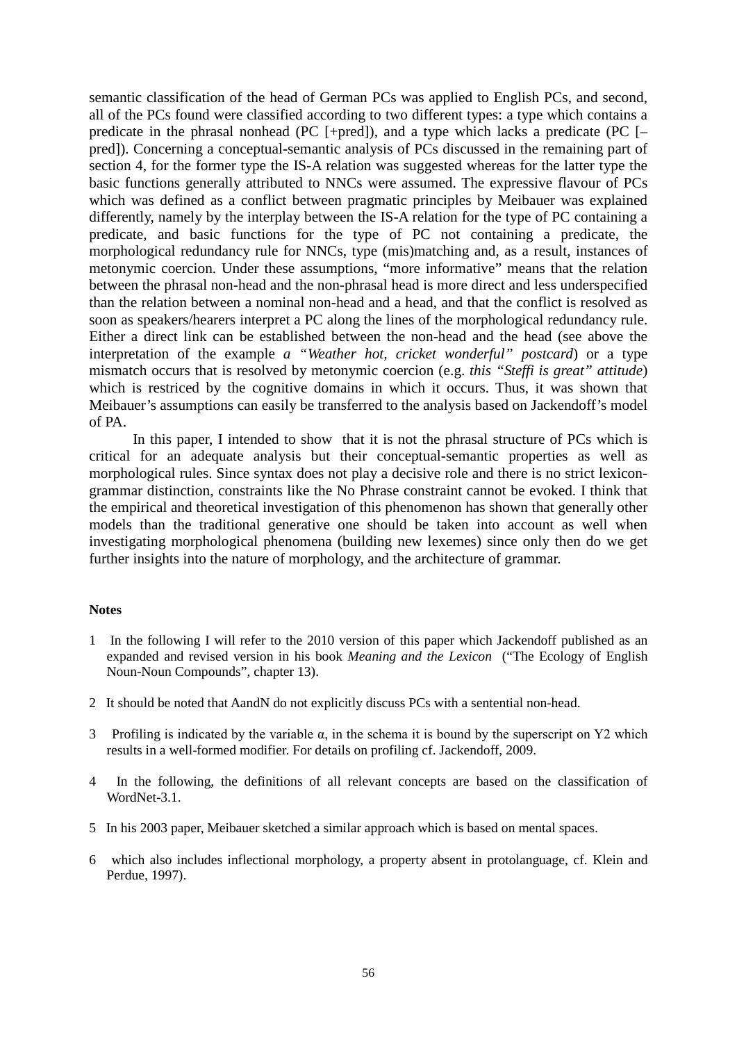semantic classification of the head of German PCs was applied to English PCs, and second, all of the PCs found were classified according to two different types: a type which contains a predicate in the phrasal nonhead (PC  $[+pred]$ ), and a type which lacks a predicate (PC  $[$ pred]). Concerning a conceptual-semantic analysis of PCs discussed in the remaining part of section 4, for the former type the IS-A relation was suggested whereas for the latter type the basic functions generally attributed to NNCs were assumed. The expressive flavour of PCs which was defined as a conflict between pragmatic principles by Meibauer was explained differently, namely by the interplay between the IS-A relation for the type of PC containing a predicate, and basic functions for the type of PC not containing a predicate, the morphological redundancy rule for NNCs, type (mis)matching and, as a result, instances of metonymic coercion. Under these assumptions, "more informative" means that the relation between the phrasal non-head and the non-phrasal head is more direct and less underspecified than the relation between a nominal non-head and a head, and that the conflict is resolved as soon as speakers/hearers interpret a PC along the lines of the morphological redundancy rule. Either a direct link can be established between the non-head and the head (see above the interpretation of the example *a "Weather hot, cricket wonderful" postcard*) or a type mismatch occurs that is resolved by metonymic coercion (e.g. *this "Steffi is great" attitude*) which is restriced by the cognitive domains in which it occurs. Thus, it was shown that Meibauer's assumptions can easily be transferred to the analysis based on Jackendoff's model of PA.

In this paper, I intended to show that it is not the phrasal structure of PCs which is critical for an adequate analysis but their conceptual-semantic properties as well as morphological rules. Since syntax does not play a decisive role and there is no strict lexicongrammar distinction, constraints like the No Phrase constraint cannot be evoked. I think that the empirical and theoretical investigation of this phenomenon has shown that generally other models than the traditional generative one should be taken into account as well when investigating morphological phenomena (building new lexemes) since only then do we get further insights into the nature of morphology, and the architecture of grammar.

#### **Notes**

- 1 In the following I will refer to the 2010 version of this paper which Jackendoff published as an expanded and revised version in his book *Meaning and the Lexicon* ("The Ecology of English Noun-Noun Compounds", chapter 13).
- 2 It should be noted that AandN do not explicitly discuss PCs with a sentential non-head.
- 3 Profiling is indicated by the variable  $\alpha$ , in the schema it is bound by the superscript on Y2 which results in a well-formed modifier. For details on profiling cf. Jackendoff, 2009.
- 4 In the following, the definitions of all relevant concepts are based on the classification of WordNet-3.1.
- 5 In his 2003 paper, Meibauer sketched a similar approach which is based on mental spaces.
- 6 which also includes inflectional morphology, a property absent in protolanguage, cf. Klein and Perdue, 1997).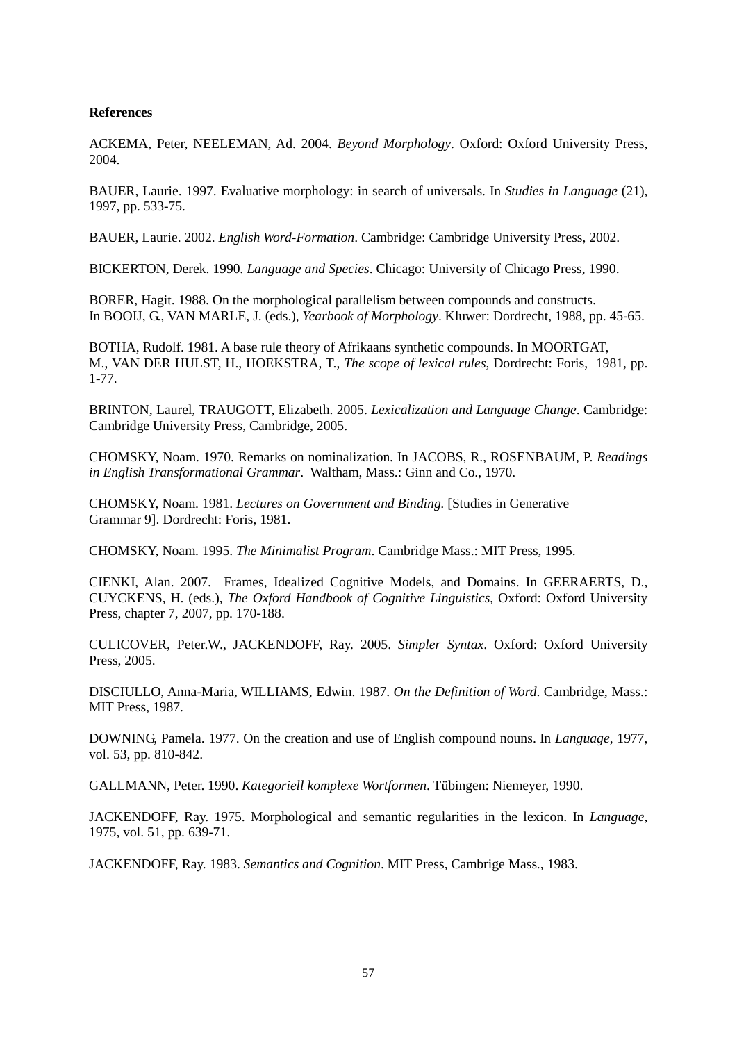#### **References**

ACKEMA, Peter, NEELEMAN, Ad. 2004. *Beyond Morphology*. Oxford: Oxford University Press, 2004.

BAUER, Laurie. 1997. Evaluative morphology: in search of universals. In *Studies in Language* (21), 1997, pp. 533-75.

BAUER, Laurie. 2002. *English Word-Formation*. Cambridge: Cambridge University Press, 2002.

BICKERTON, Derek. 1990. *Language and Species*. Chicago: University of Chicago Press, 1990.

BORER, Hagit. 1988. On the morphological parallelism between compounds and constructs. In BOOIJ, G., VAN MARLE, J. (eds.), *Yearbook of Morphology*. Kluwer: Dordrecht, 1988, pp. 45-65.

BOTHA, Rudolf. 1981. A base rule theory of Afrikaans synthetic compounds. In MOORTGAT, M., VAN DER HULST, H., HOEKSTRA, T., *The scope of lexical rules*, Dordrecht: Foris, 1981, pp. 1-77.

BRINTON, Laurel, TRAUGOTT, Elizabeth. 2005. *Lexicalization and Language Change*. Cambridge: Cambridge University Press, Cambridge, 2005.

CHOMSKY, Noam. 1970. Remarks on nominalization. In JACOBS, R., ROSENBAUM, P. *Readings in English Transformational Grammar*. Waltham, Mass.: Ginn and Co., 1970.

CHOMSKY, Noam. 1981. *Lectures on Government and Binding.* [Studies in Generative Grammar 9]. Dordrecht: Foris, 1981.

CHOMSKY, Noam. 1995. *The Minimalist Program*. Cambridge Mass.: MIT Press, 1995.

CIENKI, Alan. 2007. Frames, Idealized Cognitive Models, and Domains. In GEERAERTS, D., CUYCKENS, H. (eds.), *The Oxford Handbook of Cognitive Linguistics*, Oxford: Oxford University Press, chapter 7, 2007, pp. 170-188.

CULICOVER, Peter.W., JACKENDOFF, Ray. 2005. *Simpler Syntax*. Oxford: Oxford University Press, 2005.

DISCIULLO, Anna-Maria, WILLIAMS, Edwin. 1987. *On the Definition of Word*. Cambridge, Mass.: MIT Press, 1987.

DOWNING, Pamela. 1977. On the creation and use of English compound nouns. In *Language*, 1977, vol. 53, pp. 810-842.

GALLMANN, Peter. 1990. *Kategoriell komplexe Wortformen*. Tübingen: Niemeyer, 1990.

JACKENDOFF, Ray. 1975. Morphological and semantic regularities in the lexicon. In *Language*, 1975, vol. 51, pp. 639-71.

JACKENDOFF, Ray. 1983. *Semantics and Cognition*. MIT Press, Cambrige Mass., 1983.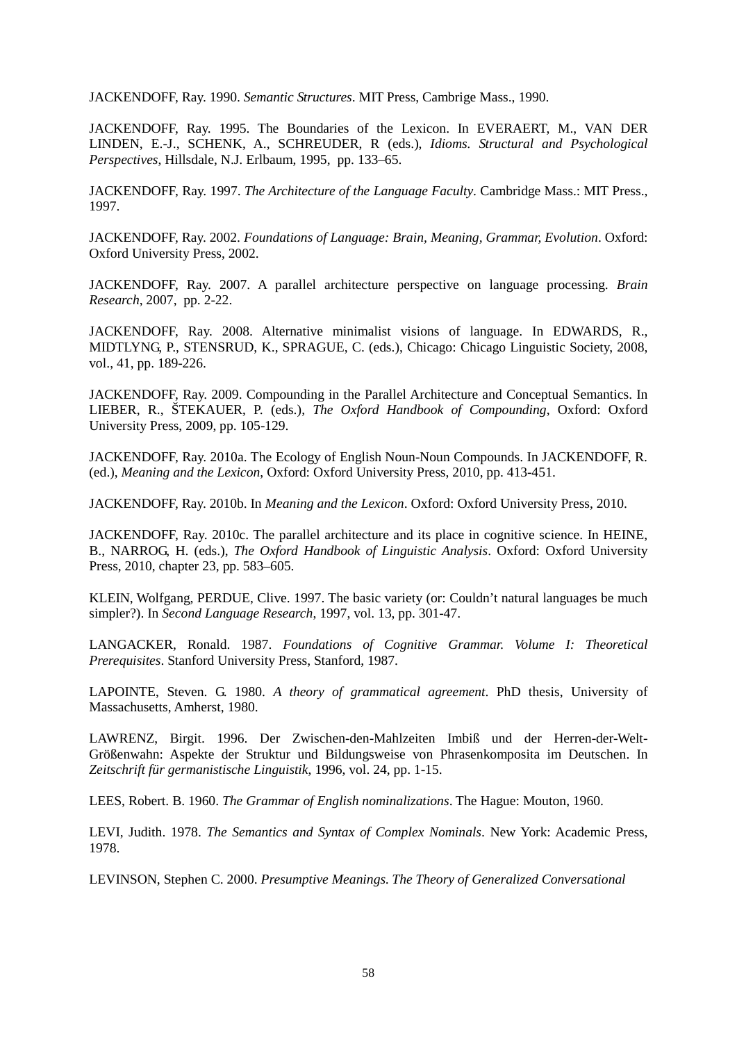JACKENDOFF, Ray. 1990. *Semantic Structures*. MIT Press, Cambrige Mass., 1990.

JACKENDOFF, Ray. 1995. The Boundaries of the Lexicon. In EVERAERT, M., VAN DER LINDEN, E.-J., SCHENK, A., SCHREUDER, R (eds.), *Idioms. Structural and Psychological Perspectives*, Hillsdale, N.J. Erlbaum, 1995, pp. 133–65.

JACKENDOFF, Ray. 1997. *The Architecture of the Language Faculty*. Cambridge Mass.: MIT Press., 1997.

JACKENDOFF, Ray. 2002. *Foundations of Language: Brain, Meaning, Grammar, Evolution*. Oxford: Oxford University Press, 2002.

JACKENDOFF, Ray. 2007. A parallel architecture perspective on language processing. *Brain Research*, 2007, pp. 2-22.

JACKENDOFF, Ray. 2008. Alternative minimalist visions of language. In EDWARDS, R., MIDTLYNG, P., STENSRUD, K., SPRAGUE, C. (eds.), Chicago: Chicago Linguistic Society, 2008, vol., 41, pp. 189-226.

JACKENDOFF, Ray. 2009. Compounding in the Parallel Architecture and Conceptual Semantics. In LIEBER, R., ŠTEKAUER, P. (eds.), *The Oxford Handbook of Compounding*, Oxford: Oxford University Press, 2009, pp. 105-129.

JACKENDOFF, Ray. 2010a. The Ecology of English Noun-Noun Compounds. In JACKENDOFF, R. (ed.), *Meaning and the Lexicon*, Oxford: Oxford University Press, 2010, pp. 413-451.

JACKENDOFF, Ray. 2010b. In *Meaning and the Lexicon*. Oxford: Oxford University Press, 2010.

JACKENDOFF, Ray. 2010c. The parallel architecture and its place in cognitive science. In HEINE, B., NARROG, H. (eds.), *The Oxford Handbook of Linguistic Analysis*. Oxford: Oxford University Press, 2010, chapter 23, pp. 583–605.

KLEIN, Wolfgang, PERDUE, Clive. 1997. The basic variety (or: Couldn't natural languages be much simpler?). In *Second Language Research*, 1997, vol. 13, pp. 301-47.

LANGACKER, Ronald. 1987. *Foundations of Cognitive Grammar. Volume I: Theoretical Prerequisites*. Stanford University Press, Stanford, 1987.

LAPOINTE, Steven. G. 1980. *A theory of grammatical agreement*. PhD thesis, University of Massachusetts, Amherst, 1980.

LAWRENZ, Birgit. 1996. Der Zwischen-den-Mahlzeiten Imbiß und der Herren-der-Welt-Größenwahn: Aspekte der Struktur und Bildungsweise von Phrasenkomposita im Deutschen. In *Zeitschrift für germanistische Linguistik*, 1996, vol. 24, pp. 1-15.

LEES, Robert. B. 1960. *The Grammar of English nominalizations*. The Hague: Mouton, 1960.

LEVI, Judith. 1978. *The Semantics and Syntax of Complex Nominals*. New York: Academic Press, 1978.

LEVINSON, Stephen C. 2000. *Presumptive Meanings. The Theory of Generalized Conversational*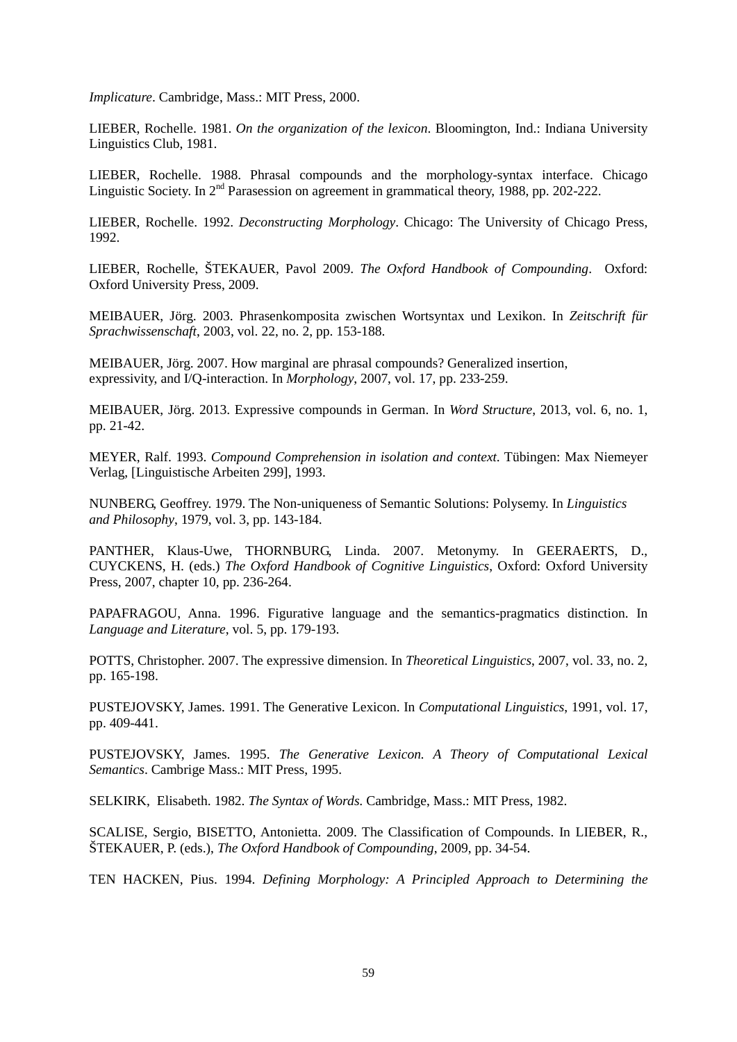*Implicature*. Cambridge, Mass.: MIT Press, 2000.

LIEBER, Rochelle. 1981. *On the organization of the lexicon*. Bloomington, Ind.: Indiana University Linguistics Club, 1981.

LIEBER, Rochelle. 1988. Phrasal compounds and the morphology-syntax interface. Chicago Linguistic Society. In 2<sup>nd</sup> Parasession on agreement in grammatical theory, 1988, pp. 202-222.

LIEBER, Rochelle. 1992. *Deconstructing Morphology*. Chicago: The University of Chicago Press, 1992.

LIEBER, Rochelle, ŠTEKAUER, Pavol 2009. *The Oxford Handbook of Compounding*. Oxford: Oxford University Press, 2009.

MEIBAUER, Jörg. 2003. Phrasenkomposita zwischen Wortsyntax und Lexikon. In *Zeitschrift für Sprachwissenschaft*, 2003, vol. 22, no. 2, pp. 153-188.

MEIBAUER, Jörg. 2007. How marginal are phrasal compounds? Generalized insertion, expressivity, and I/Q-interaction. In *Morphology*, 2007, vol. 17, pp. 233-259.

MEIBAUER, Jörg. 2013. Expressive compounds in German. In *Word Structure*, 2013, vol. 6, no. 1, pp. 21-42.

MEYER, Ralf. 1993. *Compound Comprehension in isolation and context*. Tübingen: Max Niemeyer Verlag, [Linguistische Arbeiten 299], 1993.

NUNBERG, Geoffrey. 1979. The Non-uniqueness of Semantic Solutions: Polysemy. In *Linguistics and Philosophy*, 1979, vol. 3, pp. 143-184.

PANTHER, Klaus-Uwe, THORNBURG, Linda. 2007. Metonymy. In GEERAERTS, D., CUYCKENS, H. (eds.) *The Oxford Handbook of Cognitive Linguistics*, Oxford: Oxford University Press, 2007, chapter 10, pp. 236-264.

PAPAFRAGOU, Anna. 1996. Figurative language and the semantics-pragmatics distinction. In *Language and Literature*, vol. 5, pp. 179-193.

POTTS, Christopher. 2007. The expressive dimension. In *Theoretical Linguistics*, 2007, vol. 33, no. 2, pp. 165-198.

PUSTEJOVSKY, James. 1991. The Generative Lexicon. In *Computational Linguistics*, 1991, vol. 17, pp. 409-441.

PUSTEJOVSKY, James. 1995. *The Generative Lexicon. A Theory of Computational Lexical Semantics*. Cambrige Mass.: MIT Press, 1995.

SELKIRK, Elisabeth. 1982. *The Syntax of Words*. Cambridge, Mass.: MIT Press, 1982.

SCALISE, Sergio, BISETTO, Antonietta. 2009. The Classification of Compounds. In LIEBER, R., ŠTEKAUER, P. (eds.), *The Oxford Handbook of Compounding*, 2009, pp. 34-54.

TEN HACKEN, Pius. 1994. *Defining Morphology: A Principled Approach to Determining the*